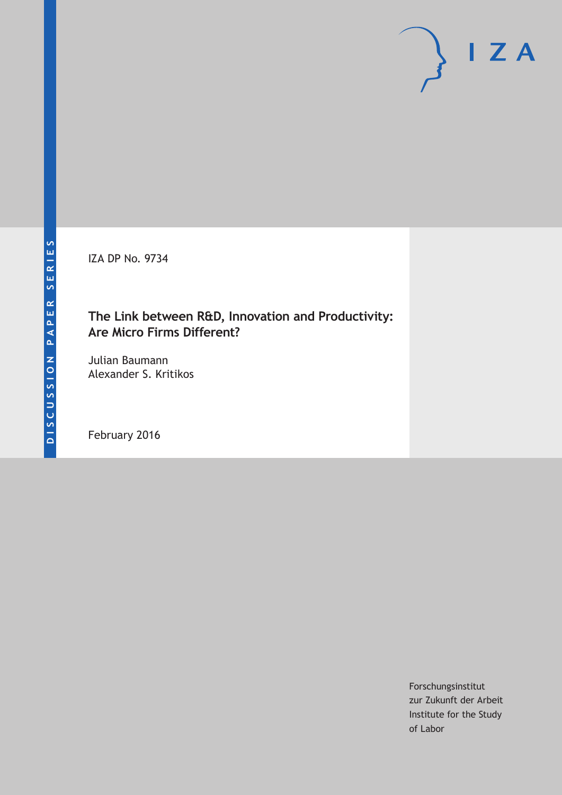IZA DP No. 9734

## **The Link between R&D, Innovation and Productivity: Are Micro Firms Different?**

Julian Baumann Alexander S. Kritikos

February 2016

Forschungsinstitut zur Zukunft der Arbeit Institute for the Study of Labor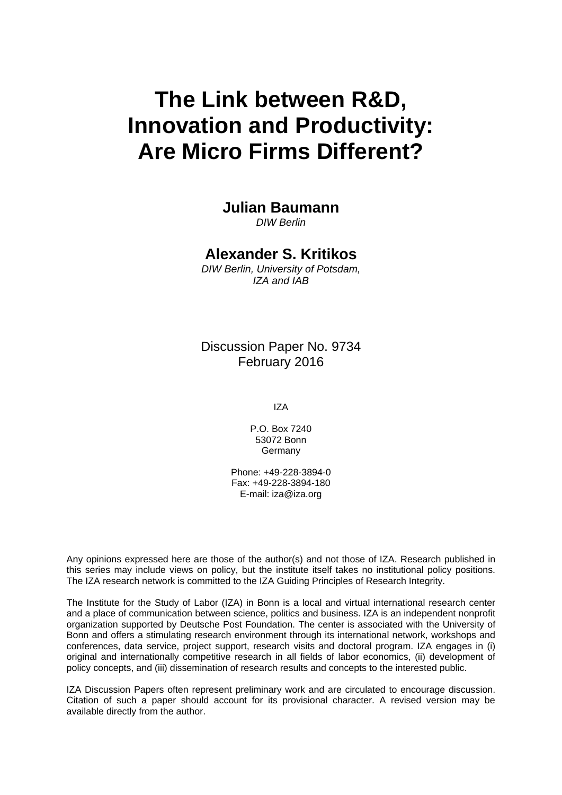# **The Link between R&D, Innovation and Productivity: Are Micro Firms Different?**

**Julian Baumann** 

*DIW Berlin* 

## **Alexander S. Kritikos**

*DIW Berlin, University of Potsdam, IZA and IAB* 

Discussion Paper No. 9734 February 2016

IZA

P.O. Box 7240 53072 Bonn Germany

Phone: +49-228-3894-0 Fax: +49-228-3894-180 E-mail: iza@iza.org

Any opinions expressed here are those of the author(s) and not those of IZA. Research published in this series may include views on policy, but the institute itself takes no institutional policy positions. The IZA research network is committed to the IZA Guiding Principles of Research Integrity.

The Institute for the Study of Labor (IZA) in Bonn is a local and virtual international research center and a place of communication between science, politics and business. IZA is an independent nonprofit organization supported by Deutsche Post Foundation. The center is associated with the University of Bonn and offers a stimulating research environment through its international network, workshops and conferences, data service, project support, research visits and doctoral program. IZA engages in (i) original and internationally competitive research in all fields of labor economics, (ii) development of policy concepts, and (iii) dissemination of research results and concepts to the interested public.

IZA Discussion Papers often represent preliminary work and are circulated to encourage discussion. Citation of such a paper should account for its provisional character. A revised version may be available directly from the author.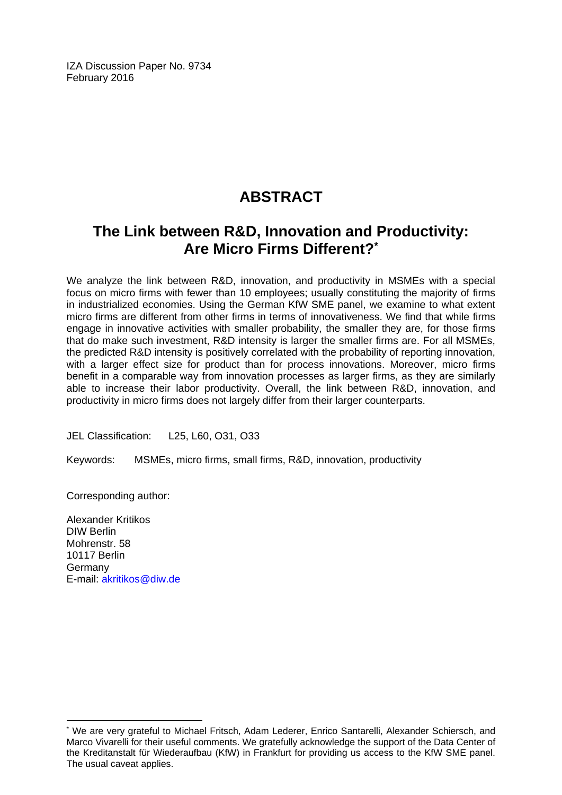IZA Discussion Paper No. 9734 February 2016

## **ABSTRACT**

## **The Link between R&D, Innovation and Productivity: Are Micro Firms Different?\***

We analyze the link between R&D, innovation, and productivity in MSMEs with a special focus on micro firms with fewer than 10 employees; usually constituting the majority of firms in industrialized economies. Using the German KfW SME panel, we examine to what extent micro firms are different from other firms in terms of innovativeness. We find that while firms engage in innovative activities with smaller probability, the smaller they are, for those firms that do make such investment, R&D intensity is larger the smaller firms are. For all MSMEs, the predicted R&D intensity is positively correlated with the probability of reporting innovation, with a larger effect size for product than for process innovations. Moreover, micro firms benefit in a comparable way from innovation processes as larger firms, as they are similarly able to increase their labor productivity. Overall, the link between R&D, innovation, and productivity in micro firms does not largely differ from their larger counterparts.

JEL Classification: L25, L60, O31, O33

Keywords: MSMEs, micro firms, small firms, R&D, innovation, productivity

Corresponding author:

Alexander Kritikos DIW Berlin Mohrenstr. 58 10117 Berlin Germany E-mail: akritikos@diw.de

 $\overline{a}$ 

<sup>\*</sup> We are very grateful to Michael Fritsch, Adam Lederer, Enrico Santarelli, Alexander Schiersch, and Marco Vivarelli for their useful comments. We gratefully acknowledge the support of the Data Center of the Kreditanstalt für Wiederaufbau (KfW) in Frankfurt for providing us access to the KfW SME panel. The usual caveat applies.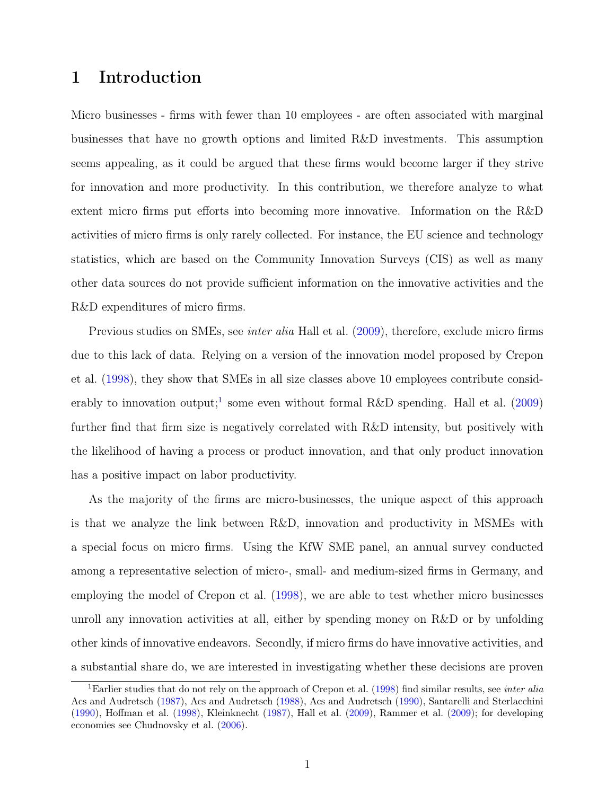## 1 Introduction

Micro businesses - firms with fewer than 10 employees - are often associated with marginal businesses that have no growth options and limited R&D investments. This assumption seems appealing, as it could be argued that these firms would become larger if they strive for innovation and more productivity. In this contribution, we therefore analyze to what extent micro firms put efforts into becoming more innovative. Information on the R&D activities of micro firms is only rarely collected. For instance, the EU science and technology statistics, which are based on the Community Innovation Surveys (CIS) as well as many other data sources do not provide sufficient information on the innovative activities and the R&D expenditures of micro firms.

Previous studies on SMEs, see *inter alia* Hall et al. [\(2009\)](#page-30-0), therefore, exclude micro firms due to this lack of data. Relying on a version of the innovation model proposed by Crepon et al. [\(1998\)](#page-29-0), they show that SMEs in all size classes above 10 employees contribute consid-erably to innovation output;<sup>[1](#page--1-0)</sup> some even without formal R&D spending. Hall et al.  $(2009)$ further find that firm size is negatively correlated with R&D intensity, but positively with the likelihood of having a process or product innovation, and that only product innovation has a positive impact on labor productivity.

As the majority of the firms are micro-businesses, the unique aspect of this approach is that we analyze the link between R&D, innovation and productivity in MSMEs with a special focus on micro firms. Using the KfW SME panel, an annual survey conducted among a representative selection of micro-, small- and medium-sized firms in Germany, and employing the model of Crepon et al. [\(1998\)](#page-29-0), we are able to test whether micro businesses unroll any innovation activities at all, either by spending money on R&D or by unfolding other kinds of innovative endeavors. Secondly, if micro firms do have innovative activities, and a substantial share do, we are interested in investigating whether these decisions are proven

<sup>&</sup>lt;sup>1</sup>Earlier studies that do not rely on the approach of Crepon et al. [\(1998\)](#page-29-0) find similar results, see *inter alia* Acs and Audretsch [\(1987\)](#page-28-0), Acs and Audretsch [\(1988\)](#page-28-1), Acs and Audretsch [\(1990\)](#page-28-2), Santarelli and Sterlacchini [\(1990\)](#page-32-0), Hoffman et al. [\(1998\)](#page-30-1), Kleinknecht [\(1987\)](#page-31-0), Hall et al. [\(2009\)](#page-30-0), Rammer et al. [\(2009\)](#page-32-1); for developing economies see Chudnovsky et al. [\(2006\)](#page-28-3).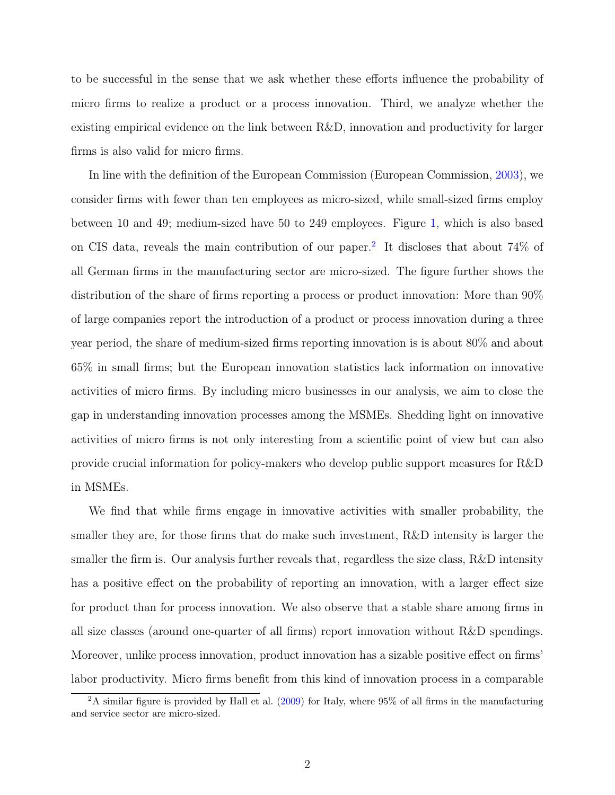to be successful in the sense that we ask whether these efforts influence the probability of micro firms to realize a product or a process innovation. Third, we analyze whether the existing empirical evidence on the link between R&D, innovation and productivity for larger firms is also valid for micro firms.

In line with the definition of the European Commission (European Commission, [2003\)](#page-29-1), we consider firms with fewer than ten employees as micro-sized, while small-sized firms employ between 10 and 49; medium-sized have 50 to 249 employees. Figure [1,](#page-39-0) which is also based on CIS data, reveals the main contribution of our paper.[2](#page--1-0) It discloses that about 74% of all German firms in the manufacturing sector are micro-sized. The figure further shows the distribution of the share of firms reporting a process or product innovation: More than 90% of large companies report the introduction of a product or process innovation during a three year period, the share of medium-sized firms reporting innovation is is about 80% and about 65% in small firms; but the European innovation statistics lack information on innovative activities of micro firms. By including micro businesses in our analysis, we aim to close the gap in understanding innovation processes among the MSMEs. Shedding light on innovative activities of micro firms is not only interesting from a scientific point of view but can also provide crucial information for policy-makers who develop public support measures for R&D in MSMEs.

We find that while firms engage in innovative activities with smaller probability, the smaller they are, for those firms that do make such investment, R&D intensity is larger the smaller the firm is. Our analysis further reveals that, regardless the size class, R&D intensity has a positive effect on the probability of reporting an innovation, with a larger effect size for product than for process innovation. We also observe that a stable share among firms in all size classes (around one-quarter of all firms) report innovation without R&D spendings. Moreover, unlike process innovation, product innovation has a sizable positive effect on firms' labor productivity. Micro firms benefit from this kind of innovation process in a comparable

 $2A$  similar figure is provided by Hall et al. [\(2009\)](#page-30-0) for Italy, where 95% of all firms in the manufacturing and service sector are micro-sized.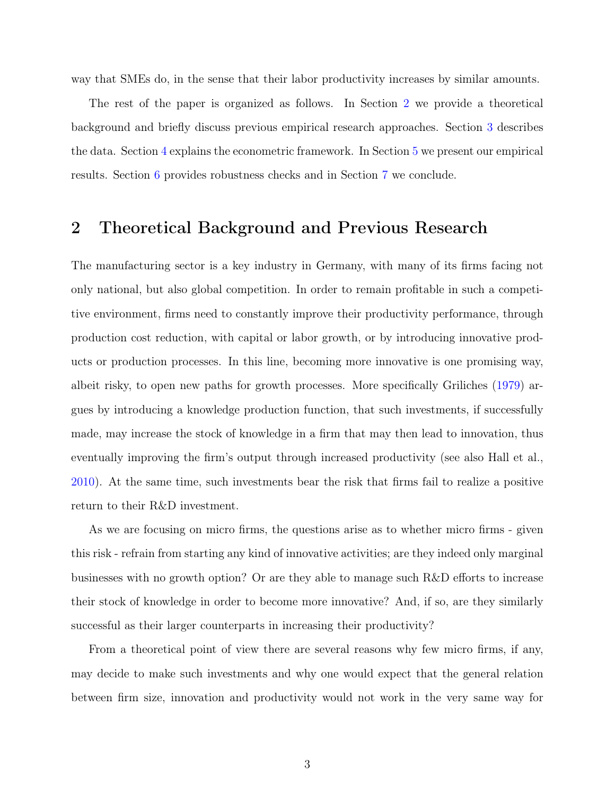way that SMEs do, in the sense that their labor productivity increases by similar amounts.

The rest of the paper is organized as follows. In Section [2](#page-5-0) we provide a theoretical background and briefly discuss previous empirical research approaches. Section [3](#page-10-0) describes the data. Section [4](#page-13-0) explains the econometric framework. In Section [5](#page-16-0) we present our empirical results. Section [6](#page-20-0) provides robustness checks and in Section [7](#page-24-0) we conclude.

## <span id="page-5-0"></span>2 Theoretical Background and Previous Research

The manufacturing sector is a key industry in Germany, with many of its firms facing not only national, but also global competition. In order to remain profitable in such a competitive environment, firms need to constantly improve their productivity performance, through production cost reduction, with capital or labor growth, or by introducing innovative products or production processes. In this line, becoming more innovative is one promising way, albeit risky, to open new paths for growth processes. More specifically Griliches [\(1979\)](#page-30-2) argues by introducing a knowledge production function, that such investments, if successfully made, may increase the stock of knowledge in a firm that may then lead to innovation, thus eventually improving the firm's output through increased productivity (see also Hall et al., [2010\)](#page-30-3). At the same time, such investments bear the risk that firms fail to realize a positive return to their R&D investment.

As we are focusing on micro firms, the questions arise as to whether micro firms - given this risk - refrain from starting any kind of innovative activities; are they indeed only marginal businesses with no growth option? Or are they able to manage such R&D efforts to increase their stock of knowledge in order to become more innovative? And, if so, are they similarly successful as their larger counterparts in increasing their productivity?

From a theoretical point of view there are several reasons why few micro firms, if any, may decide to make such investments and why one would expect that the general relation between firm size, innovation and productivity would not work in the very same way for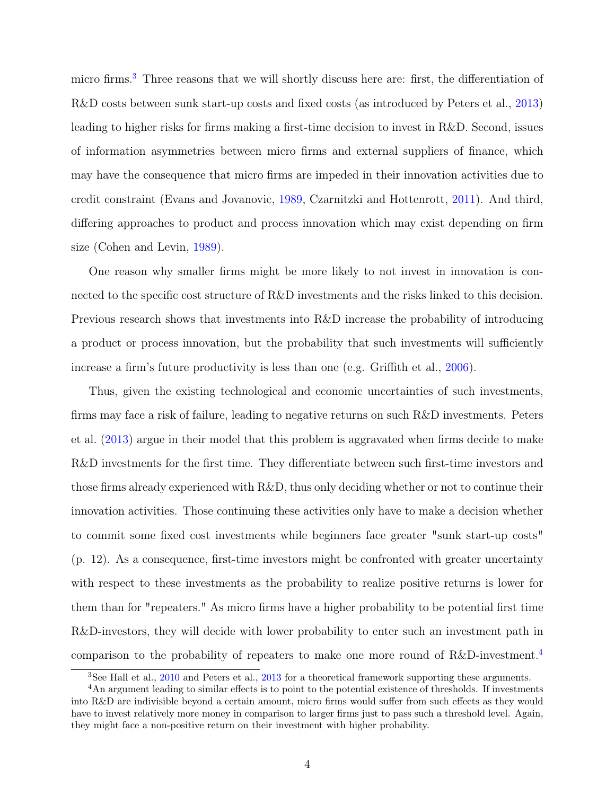micro firms.[3](#page--1-0) Three reasons that we will shortly discuss here are: first, the differentiation of R&D costs between sunk start-up costs and fixed costs (as introduced by Peters et al., [2013\)](#page-32-2) leading to higher risks for firms making a first-time decision to invest in R&D. Second, issues of information asymmetries between micro firms and external suppliers of finance, which may have the consequence that micro firms are impeded in their innovation activities due to credit constraint (Evans and Jovanovic, [1989,](#page-29-2) Czarnitzki and Hottenrott, [2011\)](#page-29-3). And third, differing approaches to product and process innovation which may exist depending on firm size (Cohen and Levin, [1989\)](#page-28-4).

One reason why smaller firms might be more likely to not invest in innovation is connected to the specific cost structure of R&D investments and the risks linked to this decision. Previous research shows that investments into R&D increase the probability of introducing a product or process innovation, but the probability that such investments will sufficiently increase a firm's future productivity is less than one (e.g. Griffith et al., [2006\)](#page-29-4).

Thus, given the existing technological and economic uncertainties of such investments, firms may face a risk of failure, leading to negative returns on such R&D investments. Peters et al. [\(2013\)](#page-32-2) argue in their model that this problem is aggravated when firms decide to make R&D investments for the first time. They differentiate between such first-time investors and those firms already experienced with R&D, thus only deciding whether or not to continue their innovation activities. Those continuing these activities only have to make a decision whether to commit some fixed cost investments while beginners face greater "sunk start-up costs" (p. 12). As a consequence, first-time investors might be confronted with greater uncertainty with respect to these investments as the probability to realize positive returns is lower for them than for "repeaters." As micro firms have a higher probability to be potential first time R&D-investors, they will decide with lower probability to enter such an investment path in comparison to the probability of repeaters to make one more round of R&D-investment.[4](#page--1-0)

<sup>3</sup>See Hall et al., [2010](#page-30-3) and Peters et al., [2013](#page-32-2) for a theoretical framework supporting these arguments.

<sup>&</sup>lt;sup>4</sup>An argument leading to similar effects is to point to the potential existence of thresholds. If investments into R&D are indivisible beyond a certain amount, micro firms would suffer from such effects as they would have to invest relatively more money in comparison to larger firms just to pass such a threshold level. Again, they might face a non-positive return on their investment with higher probability.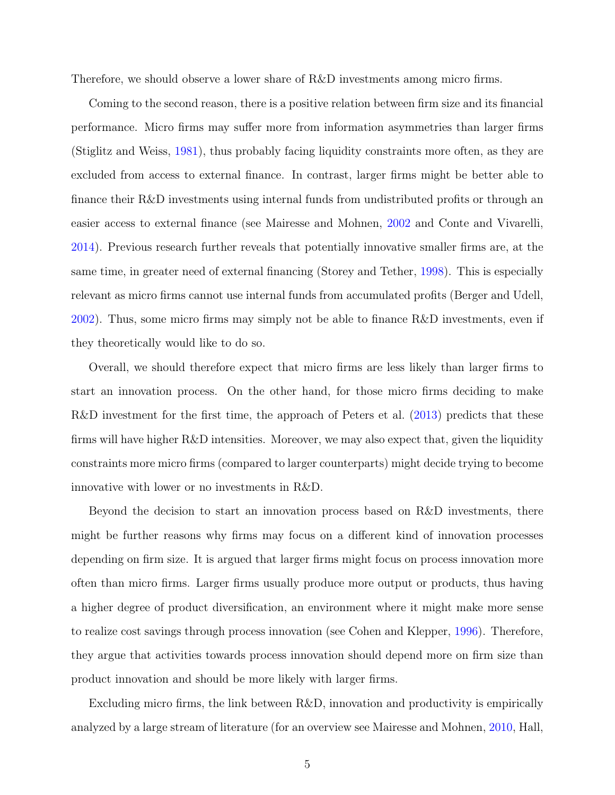Therefore, we should observe a lower share of R&D investments among micro firms.

Coming to the second reason, there is a positive relation between firm size and its financial performance. Micro firms may suffer more from information asymmetries than larger firms (Stiglitz and Weiss, [1981\)](#page-32-3), thus probably facing liquidity constraints more often, as they are excluded from access to external finance. In contrast, larger firms might be better able to finance their R&D investments using internal funds from undistributed profits or through an easier access to external finance (see Mairesse and Mohnen, [2002](#page-31-1) and Conte and Vivarelli, [2014\)](#page-29-5). Previous research further reveals that potentially innovative smaller firms are, at the same time, in greater need of external financing (Storey and Tether, [1998\)](#page-32-4). This is especially relevant as micro firms cannot use internal funds from accumulated profits (Berger and Udell, [2002\)](#page-28-5). Thus, some micro firms may simply not be able to finance R&D investments, even if they theoretically would like to do so.

Overall, we should therefore expect that micro firms are less likely than larger firms to start an innovation process. On the other hand, for those micro firms deciding to make R&D investment for the first time, the approach of Peters et al. [\(2013\)](#page-32-2) predicts that these firms will have higher R&D intensities. Moreover, we may also expect that, given the liquidity constraints more micro firms (compared to larger counterparts) might decide trying to become innovative with lower or no investments in R&D.

Beyond the decision to start an innovation process based on R&D investments, there might be further reasons why firms may focus on a different kind of innovation processes depending on firm size. It is argued that larger firms might focus on process innovation more often than micro firms. Larger firms usually produce more output or products, thus having a higher degree of product diversification, an environment where it might make more sense to realize cost savings through process innovation (see Cohen and Klepper, [1996\)](#page-28-6). Therefore, they argue that activities towards process innovation should depend more on firm size than product innovation and should be more likely with larger firms.

Excluding micro firms, the link between R&D, innovation and productivity is empirically analyzed by a large stream of literature (for an overview see Mairesse and Mohnen, [2010,](#page-31-2) Hall,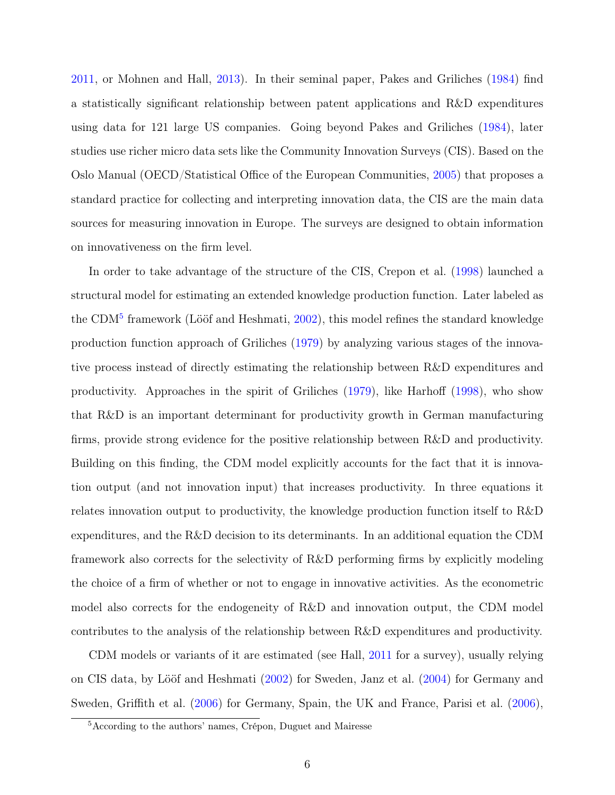[2011,](#page-30-4) or Mohnen and Hall, [2013\)](#page-31-3). In their seminal paper, Pakes and Griliches [\(1984\)](#page-31-4) find a statistically significant relationship between patent applications and R&D expenditures using data for 121 large US companies. Going beyond Pakes and Griliches [\(1984\)](#page-31-4), later studies use richer micro data sets like the Community Innovation Surveys (CIS). Based on the Oslo Manual (OECD/Statistical Office of the European Communities, [2005\)](#page-31-5) that proposes a standard practice for collecting and interpreting innovation data, the CIS are the main data sources for measuring innovation in Europe. The surveys are designed to obtain information on innovativeness on the firm level.

In order to take advantage of the structure of the CIS, Crepon et al. [\(1998\)](#page-29-0) launched a structural model for estimating an extended knowledge production function. Later labeled as the CDM<sup>[5](#page--1-0)</sup> framework (Lööf and Heshmati, [2002\)](#page-31-6), this model refines the standard knowledge production function approach of Griliches [\(1979\)](#page-30-2) by analyzing various stages of the innovative process instead of directly estimating the relationship between R&D expenditures and productivity. Approaches in the spirit of Griliches [\(1979\)](#page-30-2), like Harhoff [\(1998\)](#page-30-5), who show that R&D is an important determinant for productivity growth in German manufacturing firms, provide strong evidence for the positive relationship between R&D and productivity. Building on this finding, the CDM model explicitly accounts for the fact that it is innovation output (and not innovation input) that increases productivity. In three equations it relates innovation output to productivity, the knowledge production function itself to R&D expenditures, and the R&D decision to its determinants. In an additional equation the CDM framework also corrects for the selectivity of R&D performing firms by explicitly modeling the choice of a firm of whether or not to engage in innovative activities. As the econometric model also corrects for the endogeneity of R&D and innovation output, the CDM model contributes to the analysis of the relationship between R&D expenditures and productivity.

CDM models or variants of it are estimated (see Hall, [2011](#page-30-4) for a survey), usually relying on CIS data, by Lööf and Heshmati [\(2002\)](#page-31-6) for Sweden, Janz et al. [\(2004\)](#page-30-6) for Germany and Sweden, Griffith et al. [\(2006\)](#page-29-4) for Germany, Spain, the UK and France, Parisi et al. [\(2006\)](#page-31-7),

<sup>5</sup>According to the authors' names, Crépon, Duguet and Mairesse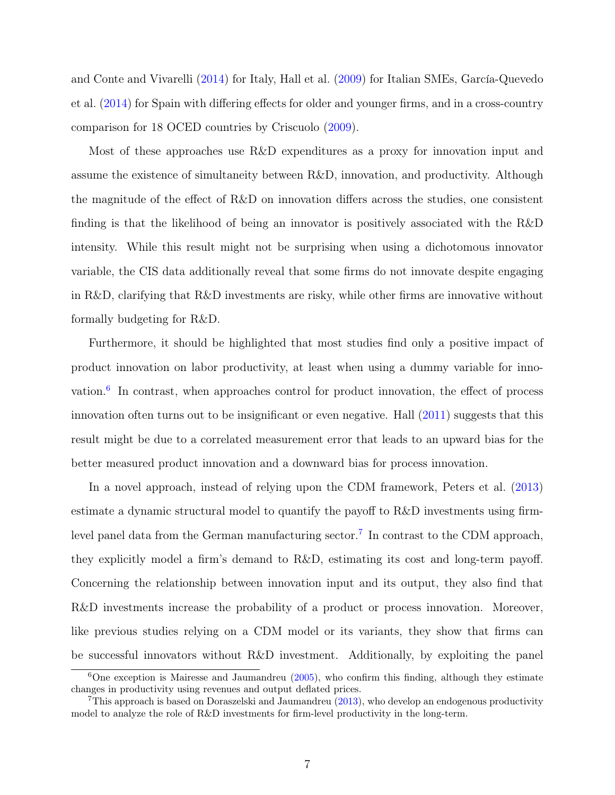and Conte and Vivarelli [\(2014\)](#page-29-5) for Italy, Hall et al. [\(2009\)](#page-30-0) for Italian SMEs, García-Quevedo et al. [\(2014\)](#page-29-6) for Spain with differing effects for older and younger firms, and in a cross-country comparison for 18 OCED countries by Criscuolo [\(2009\)](#page-29-7).

Most of these approaches use R&D expenditures as a proxy for innovation input and assume the existence of simultaneity between R&D, innovation, and productivity. Although the magnitude of the effect of R&D on innovation differs across the studies, one consistent finding is that the likelihood of being an innovator is positively associated with the R&D intensity. While this result might not be surprising when using a dichotomous innovator variable, the CIS data additionally reveal that some firms do not innovate despite engaging in R&D, clarifying that R&D investments are risky, while other firms are innovative without formally budgeting for R&D.

Furthermore, it should be highlighted that most studies find only a positive impact of product innovation on labor productivity, at least when using a dummy variable for inno-vation.<sup>[6](#page--1-0)</sup> In contrast, when approaches control for product innovation, the effect of process innovation often turns out to be insignificant or even negative. Hall [\(2011\)](#page-30-4) suggests that this result might be due to a correlated measurement error that leads to an upward bias for the better measured product innovation and a downward bias for process innovation.

In a novel approach, instead of relying upon the CDM framework, Peters et al. [\(2013\)](#page-32-2) estimate a dynamic structural model to quantify the payoff to R&D investments using firm-level panel data from the German manufacturing sector.<sup>[7](#page--1-0)</sup> In contrast to the CDM approach, they explicitly model a firm's demand to R&D, estimating its cost and long-term payoff. Concerning the relationship between innovation input and its output, they also find that R&D investments increase the probability of a product or process innovation. Moreover, like previous studies relying on a CDM model or its variants, they show that firms can be successful innovators without R&D investment. Additionally, by exploiting the panel

 $6$ One exception is Mairesse and Jaumandreu [\(2005\)](#page-31-8), who confirm this finding, although they estimate changes in productivity using revenues and output deflated prices.

<sup>7</sup>This approach is based on Doraszelski and Jaumandreu [\(2013\)](#page-29-8), who develop an endogenous productivity model to analyze the role of R&D investments for firm-level productivity in the long-term.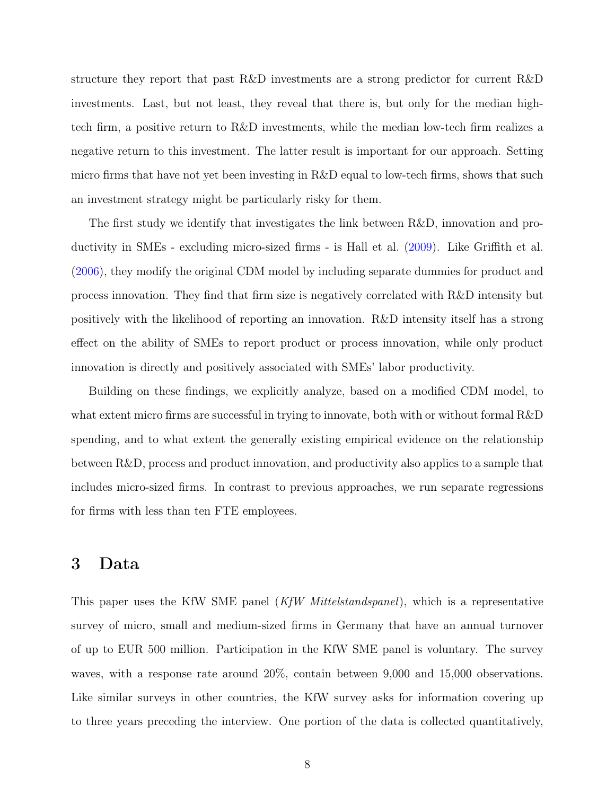structure they report that past R&D investments are a strong predictor for current R&D investments. Last, but not least, they reveal that there is, but only for the median hightech firm, a positive return to R&D investments, while the median low-tech firm realizes a negative return to this investment. The latter result is important for our approach. Setting micro firms that have not yet been investing in R&D equal to low-tech firms, shows that such an investment strategy might be particularly risky for them.

The first study we identify that investigates the link between R&D, innovation and productivity in SMEs - excluding micro-sized firms - is Hall et al. [\(2009\)](#page-30-0). Like Griffith et al. [\(2006\)](#page-29-4), they modify the original CDM model by including separate dummies for product and process innovation. They find that firm size is negatively correlated with R&D intensity but positively with the likelihood of reporting an innovation. R&D intensity itself has a strong effect on the ability of SMEs to report product or process innovation, while only product innovation is directly and positively associated with SMEs' labor productivity.

Building on these findings, we explicitly analyze, based on a modified CDM model, to what extent micro firms are successful in trying to innovate, both with or without formal R&D spending, and to what extent the generally existing empirical evidence on the relationship between R&D, process and product innovation, and productivity also applies to a sample that includes micro-sized firms. In contrast to previous approaches, we run separate regressions for firms with less than ten FTE employees.

## <span id="page-10-0"></span>3 Data

This paper uses the KfW SME panel  $(KfW\; Mittelstandspanel)$ , which is a representative survey of micro, small and medium-sized firms in Germany that have an annual turnover of up to EUR 500 million. Participation in the KfW SME panel is voluntary. The survey waves, with a response rate around 20%, contain between 9,000 and 15,000 observations. Like similar surveys in other countries, the KfW survey asks for information covering up to three years preceding the interview. One portion of the data is collected quantitatively,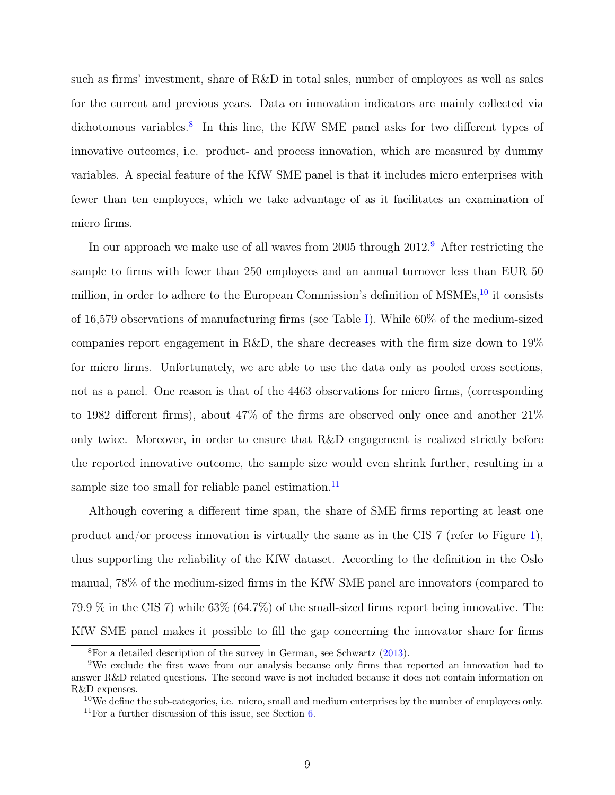such as firms' investment, share of R&D in total sales, number of employees as well as sales for the current and previous years. Data on innovation indicators are mainly collected via dichotomous variables.<sup>[8](#page--1-0)</sup> In this line, the KfW SME panel asks for two different types of innovative outcomes, i.e. product- and process innovation, which are measured by dummy variables. A special feature of the KfW SME panel is that it includes micro enterprises with fewer than ten employees, which we take advantage of as it facilitates an examination of micro firms.

In our approach we make use of all waves from 2005 through 2012.<sup>[9](#page--1-0)</sup> After restricting the sample to firms with fewer than 250 employees and an annual turnover less than EUR 50 million, in order to adhere to the European Commission's definition of  $MSMEs$ ,  $^{10}$  $^{10}$  $^{10}$  it consists of 16,579 observations of manufacturing firms (see Table [I\)](#page-33-0). While 60% of the medium-sized companies report engagement in R&D, the share decreases with the firm size down to 19% for micro firms. Unfortunately, we are able to use the data only as pooled cross sections, not as a panel. One reason is that of the 4463 observations for micro firms, (corresponding to 1982 different firms), about 47% of the firms are observed only once and another 21% only twice. Moreover, in order to ensure that R&D engagement is realized strictly before the reported innovative outcome, the sample size would even shrink further, resulting in a sample size too small for reliable panel estimation.<sup>[11](#page--1-0)</sup>

Although covering a different time span, the share of SME firms reporting at least one product and/or process innovation is virtually the same as in the CIS 7 (refer to Figure [1\)](#page-39-0), thus supporting the reliability of the KfW dataset. According to the definition in the Oslo manual, 78% of the medium-sized firms in the KfW SME panel are innovators (compared to 79.9 % in the CIS 7) while 63% (64.7%) of the small-sized firms report being innovative. The KfW SME panel makes it possible to fill the gap concerning the innovator share for firms

 ${}^{8}$ For a detailed description of the survey in German, see Schwartz [\(2013\)](#page-32-5).

<sup>9</sup>We exclude the first wave from our analysis because only firms that reported an innovation had to answer R&D related questions. The second wave is not included because it does not contain information on R&D expenses.

<sup>&</sup>lt;sup>10</sup>We define the sub-categories, i.e. micro, small and medium enterprises by the number of employees only. <sup>11</sup>For a further discussion of this issue, see Section  $6$ .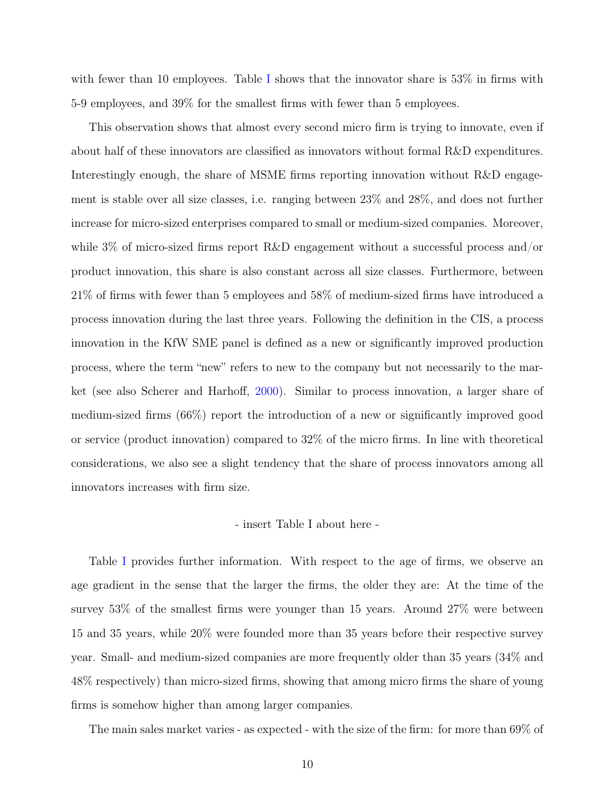with fewer than 10 employees. Table [I](#page-33-0) shows that the innovator share is  $53\%$  in firms with 5-9 employees, and 39% for the smallest firms with fewer than 5 employees.

This observation shows that almost every second micro firm is trying to innovate, even if about half of these innovators are classified as innovators without formal R&D expenditures. Interestingly enough, the share of MSME firms reporting innovation without R&D engagement is stable over all size classes, i.e. ranging between 23% and 28%, and does not further increase for micro-sized enterprises compared to small or medium-sized companies. Moreover, while 3% of micro-sized firms report R&D engagement without a successful process and/or product innovation, this share is also constant across all size classes. Furthermore, between 21% of firms with fewer than 5 employees and 58% of medium-sized firms have introduced a process innovation during the last three years. Following the definition in the CIS, a process innovation in the KfW SME panel is defined as a new or significantly improved production process, where the term "new" refers to new to the company but not necessarily to the market (see also Scherer and Harhoff, [2000\)](#page-32-6). Similar to process innovation, a larger share of medium-sized firms (66%) report the introduction of a new or significantly improved good or service (product innovation) compared to 32% of the micro firms. In line with theoretical considerations, we also see a slight tendency that the share of process innovators among all innovators increases with firm size.

#### - insert Table I about here -

Table [I](#page-33-0) provides further information. With respect to the age of firms, we observe an age gradient in the sense that the larger the firms, the older they are: At the time of the survey 53% of the smallest firms were younger than 15 years. Around 27% were between 15 and 35 years, while 20% were founded more than 35 years before their respective survey year. Small- and medium-sized companies are more frequently older than 35 years (34% and 48% respectively) than micro-sized firms, showing that among micro firms the share of young firms is somehow higher than among larger companies.

The main sales market varies - as expected - with the size of the firm: for more than 69% of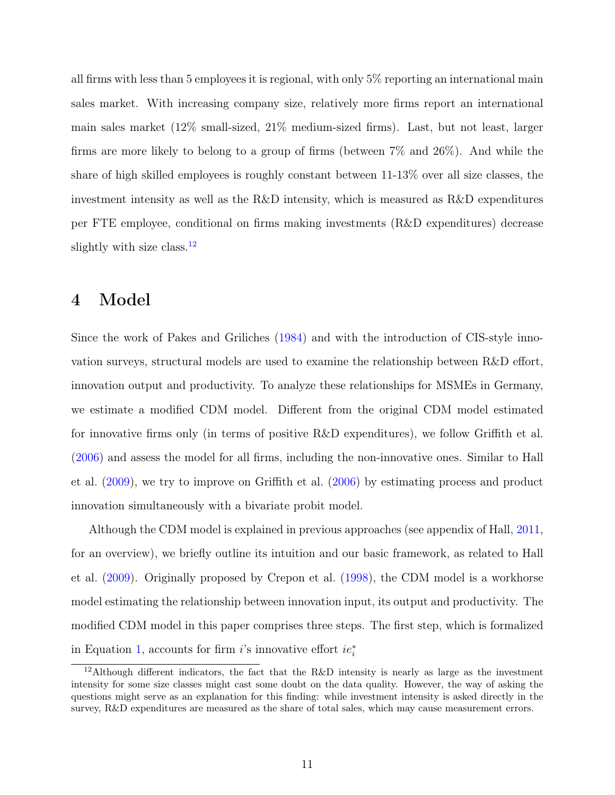all firms with less than 5 employees it is regional, with only 5% reporting an international main sales market. With increasing company size, relatively more firms report an international main sales market (12% small-sized, 21% medium-sized firms). Last, but not least, larger firms are more likely to belong to a group of firms (between 7% and 26%). And while the share of high skilled employees is roughly constant between 11-13% over all size classes, the investment intensity as well as the R&D intensity, which is measured as R&D expenditures per FTE employee, conditional on firms making investments (R&D expenditures) decrease slightly with size class. $^{12}$  $^{12}$  $^{12}$ 

## <span id="page-13-0"></span>4 Model

Since the work of Pakes and Griliches [\(1984\)](#page-31-4) and with the introduction of CIS-style innovation surveys, structural models are used to examine the relationship between R&D effort, innovation output and productivity. To analyze these relationships for MSMEs in Germany, we estimate a modified CDM model. Different from the original CDM model estimated for innovative firms only (in terms of positive R&D expenditures), we follow Griffith et al. [\(2006\)](#page-29-4) and assess the model for all firms, including the non-innovative ones. Similar to Hall et al. [\(2009\)](#page-30-0), we try to improve on Griffith et al. [\(2006\)](#page-29-4) by estimating process and product innovation simultaneously with a bivariate probit model.

Although the CDM model is explained in previous approaches (see appendix of Hall, [2011,](#page-30-4) for an overview), we briefly outline its intuition and our basic framework, as related to Hall et al. [\(2009\)](#page-30-0). Originally proposed by Crepon et al. [\(1998\)](#page-29-0), the CDM model is a workhorse model estimating the relationship between innovation input, its output and productivity. The modified CDM model in this paper comprises three steps. The first step, which is formalized in Equation [1,](#page-14-0) accounts for firm i's innovative effort  $ie_i^*$ 

<sup>&</sup>lt;sup>12</sup>Although different indicators, the fact that the R&D intensity is nearly as large as the investment intensity for some size classes might cast some doubt on the data quality. However, the way of asking the questions might serve as an explanation for this finding: while investment intensity is asked directly in the survey, R&D expenditures are measured as the share of total sales, which may cause measurement errors.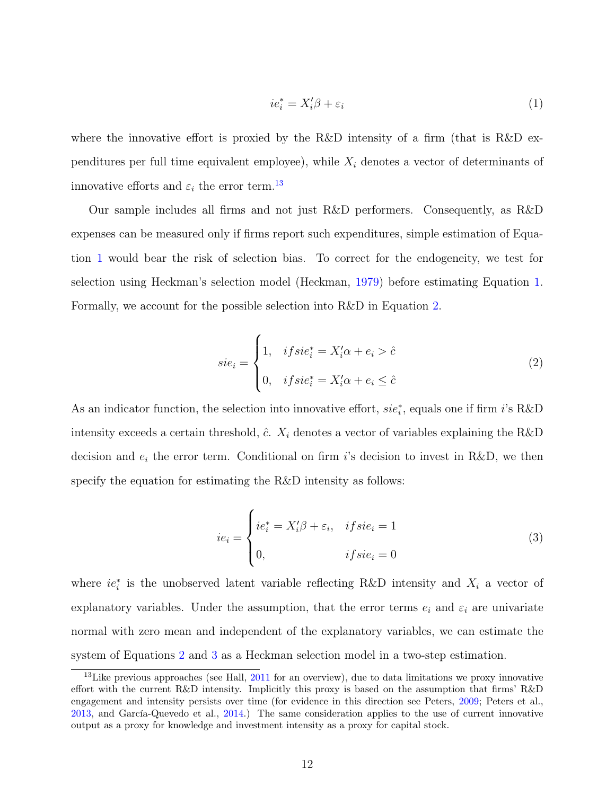<span id="page-14-0"></span>
$$
ie_i^* = X_i'\beta + \varepsilon_i \tag{1}
$$

where the innovative effort is proxied by the R&D intensity of a firm (that is R&D expenditures per full time equivalent employee), while  $X_i$  denotes a vector of determinants of innovative efforts and  $\varepsilon_i$  the error term.<sup>[13](#page--1-0)</sup>

Our sample includes all firms and not just R&D performers. Consequently, as R&D expenses can be measured only if firms report such expenditures, simple estimation of Equation [1](#page-14-0) would bear the risk of selection bias. To correct for the endogeneity, we test for selection using Heckman's selection model (Heckman, [1979\)](#page-30-7) before estimating Equation [1.](#page-14-0) Formally, we account for the possible selection into R&D in Equation [2.](#page-14-1)

<span id="page-14-1"></span>
$$
siei =\begin{cases} 1, & if siei* = X'i \alpha + ei > \hat{c} \\ 0, & if siei* = X'i \alpha + ei \leq \hat{c} \end{cases}
$$
(2)

As an indicator function, the selection into innovative effort,  $sie_i^*$ , equals one if firm i's R&D intensity exceeds a certain threshold,  $\hat{c}$ .  $X_i$  denotes a vector of variables explaining the R&D decision and  $e_i$  the error term. Conditional on firm i's decision to invest in R&D, we then specify the equation for estimating the R&D intensity as follows:

<span id="page-14-2"></span>
$$
ie_i = \begin{cases} ie_i^* = X_i'\beta + \varepsilon_i, & if sie_i = 1\\ 0, & if sie_i = 0 \end{cases}
$$
 (3)

where  $ie_i^*$  is the unobserved latent variable reflecting R&D intensity and  $X_i$  a vector of explanatory variables. Under the assumption, that the error terms  $e_i$  and  $\varepsilon_i$  are univariate normal with zero mean and independent of the explanatory variables, we can estimate the system of Equations [2](#page-14-1) and [3](#page-14-2) as a Heckman selection model in a two-step estimation.

 $13$ Like previous approaches (see Hall,  $2011$  for an overview), due to data limitations we proxy innovative effort with the current R&D intensity. Implicitly this proxy is based on the assumption that firms' R&D engagement and intensity persists over time (for evidence in this direction see Peters, [2009;](#page-32-7) Peters et al., [2013,](#page-32-2) and García-Quevedo et al., [2014.](#page-29-6)) The same consideration applies to the use of current innovative output as a proxy for knowledge and investment intensity as a proxy for capital stock.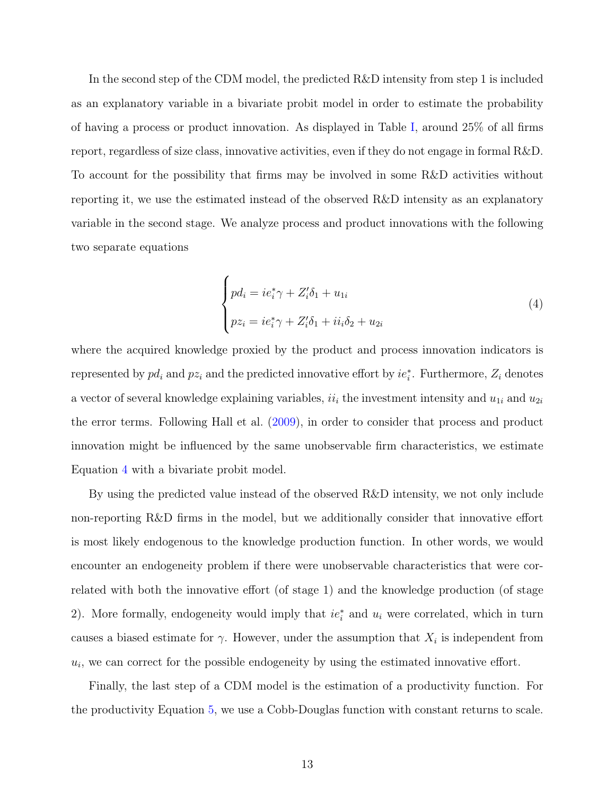In the second step of the CDM model, the predicted R&D intensity from step 1 is included as an explanatory variable in a bivariate probit model in order to estimate the probability of having a process or product innovation. As displayed in Table [I,](#page-33-0) around 25% of all firms report, regardless of size class, innovative activities, even if they do not engage in formal R&D. To account for the possibility that firms may be involved in some R&D activities without reporting it, we use the estimated instead of the observed R&D intensity as an explanatory variable in the second stage. We analyze process and product innovations with the following two separate equations

<span id="page-15-0"></span>
$$
\begin{cases}\npd_i = ie_i^*\gamma + Z_i'\delta_1 + u_{1i} \\
pz_i = ie_i^*\gamma + Z_i'\delta_1 + ii_i\delta_2 + u_{2i}\n\end{cases}
$$
\n(4)

where the acquired knowledge proxied by the product and process innovation indicators is represented by  $pd_i$  and  $pz_i$  and the predicted innovative effort by  $ie_i^*$ . Furthermore,  $Z_i$  denotes a vector of several knowledge explaining variables,  $ii_i$  the investment intensity and  $u_{1i}$  and  $u_{2i}$ the error terms. Following Hall et al. [\(2009\)](#page-30-0), in order to consider that process and product innovation might be influenced by the same unobservable firm characteristics, we estimate Equation [4](#page-15-0) with a bivariate probit model.

By using the predicted value instead of the observed R&D intensity, we not only include non-reporting R&D firms in the model, but we additionally consider that innovative effort is most likely endogenous to the knowledge production function. In other words, we would encounter an endogeneity problem if there were unobservable characteristics that were correlated with both the innovative effort (of stage 1) and the knowledge production (of stage 2). More formally, endogeneity would imply that  $ie_i^*$  and  $u_i$  were correlated, which in turn causes a biased estimate for  $\gamma$ . However, under the assumption that  $X_i$  is independent from  $u_i$ , we can correct for the possible endogeneity by using the estimated innovative effort.

Finally, the last step of a CDM model is the estimation of a productivity function. For the productivity Equation [5,](#page-16-1) we use a Cobb-Douglas function with constant returns to scale.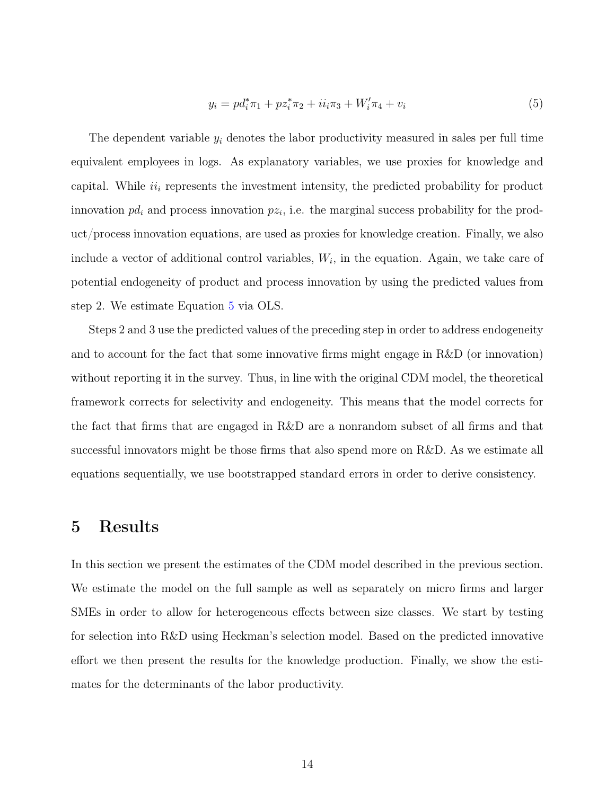<span id="page-16-1"></span>
$$
y_i = p d_i^* \pi_1 + p z_i^* \pi_2 + i i_i \pi_3 + W_i' \pi_4 + v_i \tag{5}
$$

The dependent variable  $y_i$  denotes the labor productivity measured in sales per full time equivalent employees in logs. As explanatory variables, we use proxies for knowledge and capital. While  $ii_i$  represents the investment intensity, the predicted probability for product innovation  $pd_i$  and process innovation  $pz_i$ , i.e. the marginal success probability for the product/process innovation equations, are used as proxies for knowledge creation. Finally, we also include a vector of additional control variables,  $W_i$ , in the equation. Again, we take care of potential endogeneity of product and process innovation by using the predicted values from step 2. We estimate Equation [5](#page-16-1) via OLS.

Steps 2 and 3 use the predicted values of the preceding step in order to address endogeneity and to account for the fact that some innovative firms might engage in R&D (or innovation) without reporting it in the survey. Thus, in line with the original CDM model, the theoretical framework corrects for selectivity and endogeneity. This means that the model corrects for the fact that firms that are engaged in R&D are a nonrandom subset of all firms and that successful innovators might be those firms that also spend more on R&D. As we estimate all equations sequentially, we use bootstrapped standard errors in order to derive consistency.

### <span id="page-16-0"></span>5 Results

In this section we present the estimates of the CDM model described in the previous section. We estimate the model on the full sample as well as separately on micro firms and larger SMEs in order to allow for heterogeneous effects between size classes. We start by testing for selection into R&D using Heckman's selection model. Based on the predicted innovative effort we then present the results for the knowledge production. Finally, we show the estimates for the determinants of the labor productivity.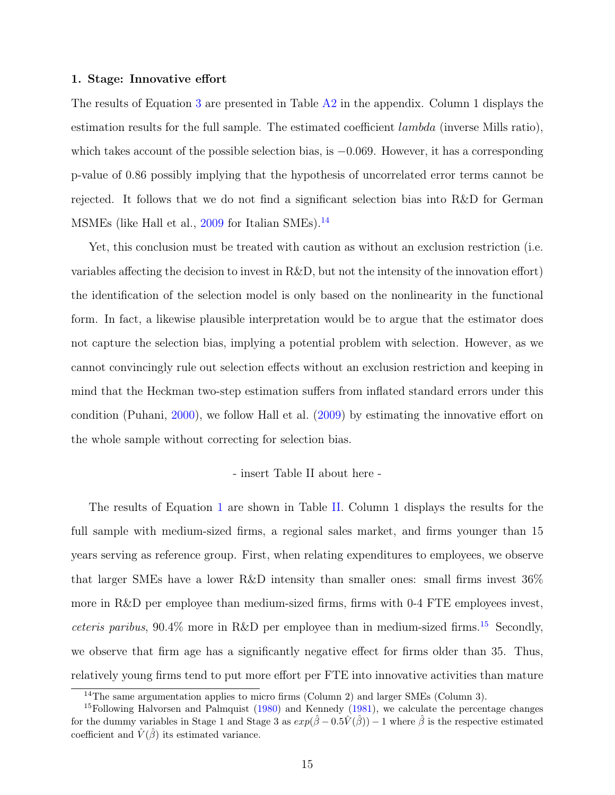#### 1. Stage: Innovative effort

The results of Equation [3](#page-14-2) are presented in Table [A2](#page-41-0) in the appendix. Column 1 displays the estimation results for the full sample. The estimated coefficient *lambda* (inverse Mills ratio), which takes account of the possible selection bias, is  $-0.069$ . However, it has a corresponding p-value of 0.86 possibly implying that the hypothesis of uncorrelated error terms cannot be rejected. It follows that we do not find a significant selection bias into R&D for German MSMEs (like Hall et al.,  $2009$  for Italian SMEs).<sup>[14](#page--1-0)</sup>

Yet, this conclusion must be treated with caution as without an exclusion restriction (i.e. variables affecting the decision to invest in R&D, but not the intensity of the innovation effort) the identification of the selection model is only based on the nonlinearity in the functional form. In fact, a likewise plausible interpretation would be to argue that the estimator does not capture the selection bias, implying a potential problem with selection. However, as we cannot convincingly rule out selection effects without an exclusion restriction and keeping in mind that the Heckman two-step estimation suffers from inflated standard errors under this condition (Puhani, [2000\)](#page-32-8), we follow Hall et al. [\(2009\)](#page-30-0) by estimating the innovative effort on the whole sample without correcting for selection bias.

#### - insert Table II about here -

The results of Equation [1](#page-14-0) are shown in Table [II.](#page-34-0) Column 1 displays the results for the full sample with medium-sized firms, a regional sales market, and firms younger than 15 years serving as reference group. First, when relating expenditures to employees, we observe that larger SMEs have a lower R&D intensity than smaller ones: small firms invest 36% more in R&D per employee than medium-sized firms, firms with 0-4 FTE employees invest, *ceteris paribus*, 90.4% more in R&D per employee than in medium-sized firms.<sup>[15](#page--1-0)</sup> Secondly, we observe that firm age has a significantly negative effect for firms older than 35. Thus, relatively young firms tend to put more effort per FTE into innovative activities than mature

<sup>14</sup>The same argumentation applies to micro firms (Column 2) and larger SMEs (Column 3).

<sup>&</sup>lt;sup>15</sup>Following Halvorsen and Palmquist [\(1980\)](#page-30-8) and Kennedy [\(1981\)](#page-30-9), we calculate the percentage changes for the dummy variables in Stage 1 and Stage 3 as  $exp(\hat{\beta} - 0.5\hat{V}(\hat{\beta})) - 1$  where  $\hat{\beta}$  is the respective estimated coefficient and  $\hat{V}(\hat{\beta})$  its estimated variance.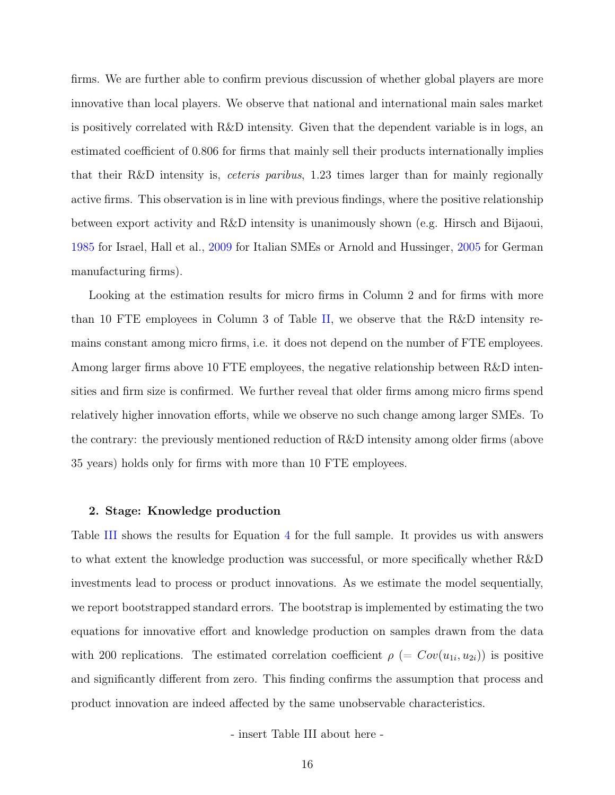firms. We are further able to confirm previous discussion of whether global players are more innovative than local players. We observe that national and international main sales market is positively correlated with R&D intensity. Given that the dependent variable is in logs, an estimated coefficient of 0.806 for firms that mainly sell their products internationally implies that their R&D intensity is, ceteris paribus, 1.23 times larger than for mainly regionally active firms. This observation is in line with previous findings, where the positive relationship between export activity and R&D intensity is unanimously shown (e.g. Hirsch and Bijaoui, [1985](#page-30-10) for Israel, Hall et al., [2009](#page-30-0) for Italian SMEs or Arnold and Hussinger, [2005](#page-28-7) for German manufacturing firms).

Looking at the estimation results for micro firms in Column 2 and for firms with more than 10 FTE employees in Column 3 of Table [II,](#page-34-0) we observe that the R&D intensity remains constant among micro firms, i.e. it does not depend on the number of FTE employees. Among larger firms above 10 FTE employees, the negative relationship between R&D intensities and firm size is confirmed. We further reveal that older firms among micro firms spend relatively higher innovation efforts, while we observe no such change among larger SMEs. To the contrary: the previously mentioned reduction of R&D intensity among older firms (above 35 years) holds only for firms with more than 10 FTE employees.

#### 2. Stage: Knowledge production

Table [III](#page-35-0) shows the results for Equation [4](#page-15-0) for the full sample. It provides us with answers to what extent the knowledge production was successful, or more specifically whether R&D investments lead to process or product innovations. As we estimate the model sequentially, we report bootstrapped standard errors. The bootstrap is implemented by estimating the two equations for innovative effort and knowledge production on samples drawn from the data with 200 replications. The estimated correlation coefficient  $\rho$  (=  $Cov(u_{1i}, u_{2i})$ ) is positive and significantly different from zero. This finding confirms the assumption that process and product innovation are indeed affected by the same unobservable characteristics.

- insert Table III about here -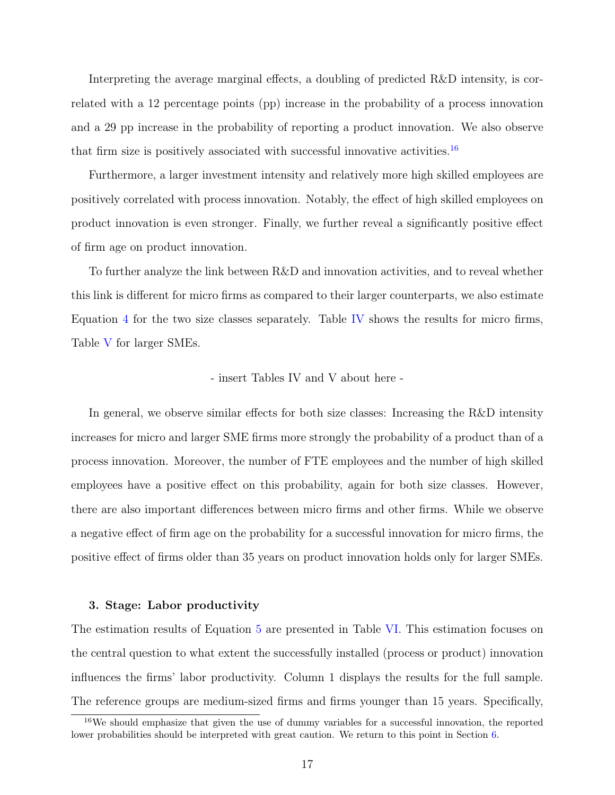Interpreting the average marginal effects, a doubling of predicted R&D intensity, is correlated with a 12 percentage points (pp) increase in the probability of a process innovation and a 29 pp increase in the probability of reporting a product innovation. We also observe that firm size is positively associated with successful innovative activities.<sup>[16](#page--1-0)</sup>

Furthermore, a larger investment intensity and relatively more high skilled employees are positively correlated with process innovation. Notably, the effect of high skilled employees on product innovation is even stronger. Finally, we further reveal a significantly positive effect of firm age on product innovation.

To further analyze the link between R&D and innovation activities, and to reveal whether this link is different for micro firms as compared to their larger counterparts, we also estimate Equation [4](#page-15-0) for the two size classes separately. Table [IV](#page-36-0) shows the results for micro firms, Table [V](#page-37-0) for larger SMEs.

#### - insert Tables IV and V about here -

In general, we observe similar effects for both size classes: Increasing the R&D intensity increases for micro and larger SME firms more strongly the probability of a product than of a process innovation. Moreover, the number of FTE employees and the number of high skilled employees have a positive effect on this probability, again for both size classes. However, there are also important differences between micro firms and other firms. While we observe a negative effect of firm age on the probability for a successful innovation for micro firms, the positive effect of firms older than 35 years on product innovation holds only for larger SMEs.

#### 3. Stage: Labor productivity

The estimation results of Equation [5](#page-16-1) are presented in Table [VI.](#page-38-0) This estimation focuses on the central question to what extent the successfully installed (process or product) innovation influences the firms' labor productivity. Column 1 displays the results for the full sample. The reference groups are medium-sized firms and firms younger than 15 years. Specifically,

<sup>&</sup>lt;sup>16</sup>We should emphasize that given the use of dummy variables for a successful innovation, the reported lower probabilities should be interpreted with great caution. We return to this point in Section [6.](#page-20-0)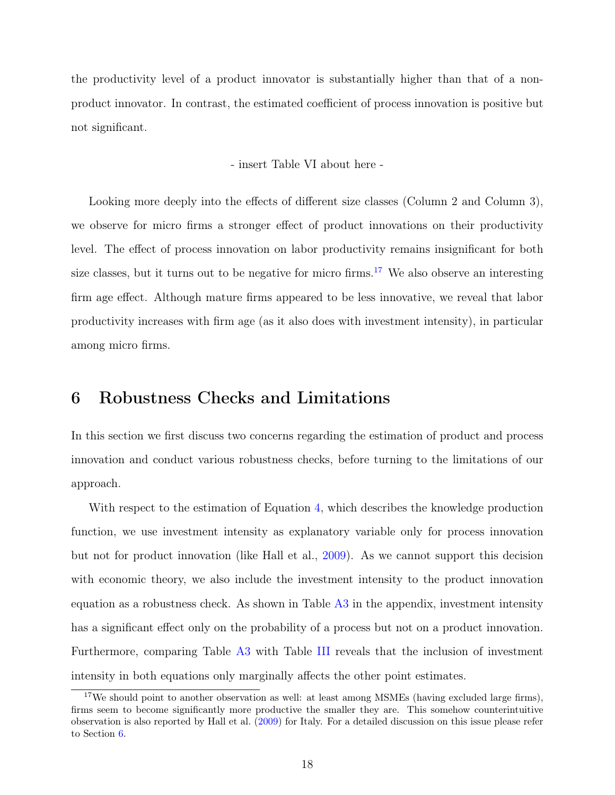the productivity level of a product innovator is substantially higher than that of a nonproduct innovator. In contrast, the estimated coefficient of process innovation is positive but not significant.

#### - insert Table VI about here -

Looking more deeply into the effects of different size classes (Column 2 and Column 3), we observe for micro firms a stronger effect of product innovations on their productivity level. The effect of process innovation on labor productivity remains insignificant for both size classes, but it turns out to be negative for micro firms.<sup>[17](#page--1-0)</sup> We also observe an interesting firm age effect. Although mature firms appeared to be less innovative, we reveal that labor productivity increases with firm age (as it also does with investment intensity), in particular among micro firms.

## <span id="page-20-0"></span>6 Robustness Checks and Limitations

In this section we first discuss two concerns regarding the estimation of product and process innovation and conduct various robustness checks, before turning to the limitations of our approach.

With respect to the estimation of Equation [4,](#page-15-0) which describes the knowledge production function, we use investment intensity as explanatory variable only for process innovation but not for product innovation (like Hall et al., [2009\)](#page-30-0). As we cannot support this decision with economic theory, we also include the investment intensity to the product innovation equation as a robustness check. As shown in Table [A3](#page-42-0) in the appendix, investment intensity has a significant effect only on the probability of a process but not on a product innovation. Furthermore, comparing Table [A3](#page-42-0) with Table [III](#page-35-0) reveals that the inclusion of investment intensity in both equations only marginally affects the other point estimates.

<sup>&</sup>lt;sup>17</sup>We should point to another observation as well: at least among MSMEs (having excluded large firms), firms seem to become significantly more productive the smaller they are. This somehow counterintuitive observation is also reported by Hall et al. [\(2009\)](#page-30-0) for Italy. For a detailed discussion on this issue please refer to Section [6.](#page-20-0)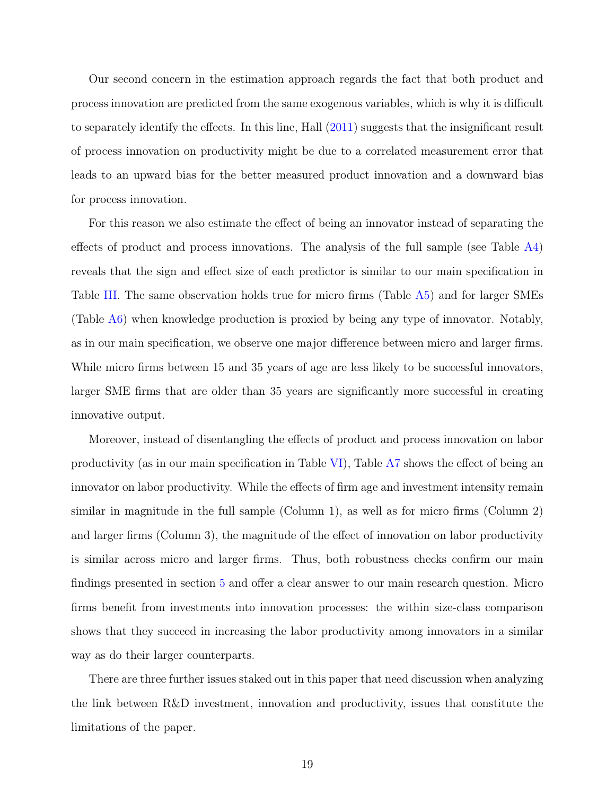Our second concern in the estimation approach regards the fact that both product and process innovation are predicted from the same exogenous variables, which is why it is difficult to separately identify the effects. In this line, Hall [\(2011\)](#page-30-4) suggests that the insignificant result of process innovation on productivity might be due to a correlated measurement error that leads to an upward bias for the better measured product innovation and a downward bias for process innovation.

For this reason we also estimate the effect of being an innovator instead of separating the effects of product and process innovations. The analysis of the full sample (see Table [A4\)](#page-43-0) reveals that the sign and effect size of each predictor is similar to our main specification in Table [III.](#page-35-0) The same observation holds true for micro firms (Table [A5\)](#page-44-0) and for larger SMEs (Table [A6\)](#page-45-0) when knowledge production is proxied by being any type of innovator. Notably, as in our main specification, we observe one major difference between micro and larger firms. While micro firms between 15 and 35 years of age are less likely to be successful innovators, larger SME firms that are older than 35 years are significantly more successful in creating innovative output.

Moreover, instead of disentangling the effects of product and process innovation on labor productivity (as in our main specification in Table [VI\)](#page-38-0), Table [A7](#page-46-0) shows the effect of being an innovator on labor productivity. While the effects of firm age and investment intensity remain similar in magnitude in the full sample (Column 1), as well as for micro firms (Column 2) and larger firms (Column 3), the magnitude of the effect of innovation on labor productivity is similar across micro and larger firms. Thus, both robustness checks confirm our main findings presented in section [5](#page-16-0) and offer a clear answer to our main research question. Micro firms benefit from investments into innovation processes: the within size-class comparison shows that they succeed in increasing the labor productivity among innovators in a similar way as do their larger counterparts.

There are three further issues staked out in this paper that need discussion when analyzing the link between R&D investment, innovation and productivity, issues that constitute the limitations of the paper.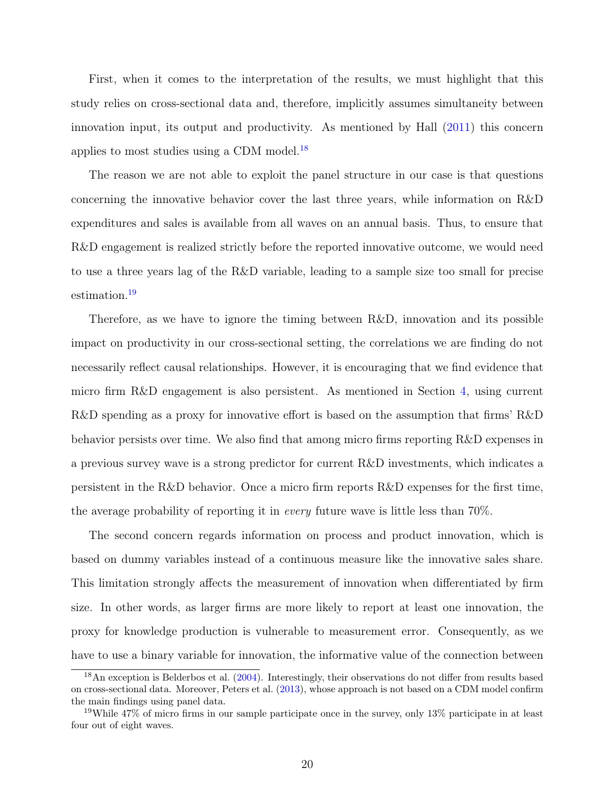First, when it comes to the interpretation of the results, we must highlight that this study relies on cross-sectional data and, therefore, implicitly assumes simultaneity between innovation input, its output and productivity. As mentioned by Hall [\(2011\)](#page-30-4) this concern applies to most studies using a CDM model.<sup>[18](#page--1-0)</sup>

The reason we are not able to exploit the panel structure in our case is that questions concerning the innovative behavior cover the last three years, while information on R&D expenditures and sales is available from all waves on an annual basis. Thus, to ensure that R&D engagement is realized strictly before the reported innovative outcome, we would need to use a three years lag of the R&D variable, leading to a sample size too small for precise estimation.<sup>[19](#page--1-0)</sup>

Therefore, as we have to ignore the timing between R&D, innovation and its possible impact on productivity in our cross-sectional setting, the correlations we are finding do not necessarily reflect causal relationships. However, it is encouraging that we find evidence that micro firm R&D engagement is also persistent. As mentioned in Section [4,](#page-13-0) using current R&D spending as a proxy for innovative effort is based on the assumption that firms' R&D behavior persists over time. We also find that among micro firms reporting R&D expenses in a previous survey wave is a strong predictor for current R&D investments, which indicates a persistent in the R&D behavior. Once a micro firm reports R&D expenses for the first time, the average probability of reporting it in every future wave is little less than 70%.

The second concern regards information on process and product innovation, which is based on dummy variables instead of a continuous measure like the innovative sales share. This limitation strongly affects the measurement of innovation when differentiated by firm size. In other words, as larger firms are more likely to report at least one innovation, the proxy for knowledge production is vulnerable to measurement error. Consequently, as we have to use a binary variable for innovation, the informative value of the connection between

<sup>&</sup>lt;sup>18</sup>An exception is Belderbos et al. [\(2004\)](#page-28-8). Interestingly, their observations do not differ from results based on cross-sectional data. Moreover, Peters et al. [\(2013\)](#page-32-2), whose approach is not based on a CDM model confirm the main findings using panel data.

<sup>&</sup>lt;sup>19</sup>While 47% of micro firms in our sample participate once in the survey, only  $13\%$  participate in at least four out of eight waves.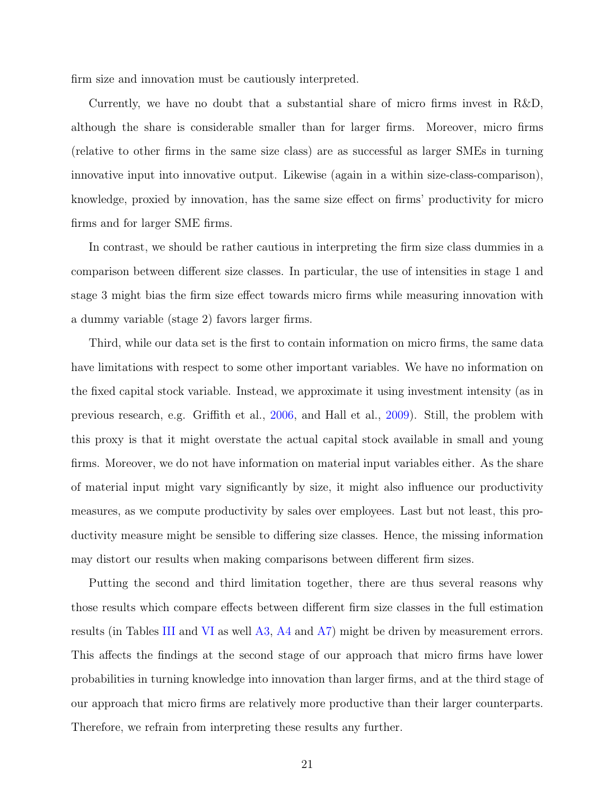firm size and innovation must be cautiously interpreted.

Currently, we have no doubt that a substantial share of micro firms invest in R&D, although the share is considerable smaller than for larger firms. Moreover, micro firms (relative to other firms in the same size class) are as successful as larger SMEs in turning innovative input into innovative output. Likewise (again in a within size-class-comparison), knowledge, proxied by innovation, has the same size effect on firms' productivity for micro firms and for larger SME firms.

In contrast, we should be rather cautious in interpreting the firm size class dummies in a comparison between different size classes. In particular, the use of intensities in stage 1 and stage 3 might bias the firm size effect towards micro firms while measuring innovation with a dummy variable (stage 2) favors larger firms.

Third, while our data set is the first to contain information on micro firms, the same data have limitations with respect to some other important variables. We have no information on the fixed capital stock variable. Instead, we approximate it using investment intensity (as in previous research, e.g. Griffith et al., [2006,](#page-29-4) and Hall et al., [2009\)](#page-30-0). Still, the problem with this proxy is that it might overstate the actual capital stock available in small and young firms. Moreover, we do not have information on material input variables either. As the share of material input might vary significantly by size, it might also influence our productivity measures, as we compute productivity by sales over employees. Last but not least, this productivity measure might be sensible to differing size classes. Hence, the missing information may distort our results when making comparisons between different firm sizes.

Putting the second and third limitation together, there are thus several reasons why those results which compare effects between different firm size classes in the full estimation results (in Tables [III](#page-35-0) and [VI](#page-38-0) as well [A3,](#page-42-0) [A4](#page-43-0) and [A7\)](#page-46-0) might be driven by measurement errors. This affects the findings at the second stage of our approach that micro firms have lower probabilities in turning knowledge into innovation than larger firms, and at the third stage of our approach that micro firms are relatively more productive than their larger counterparts. Therefore, we refrain from interpreting these results any further.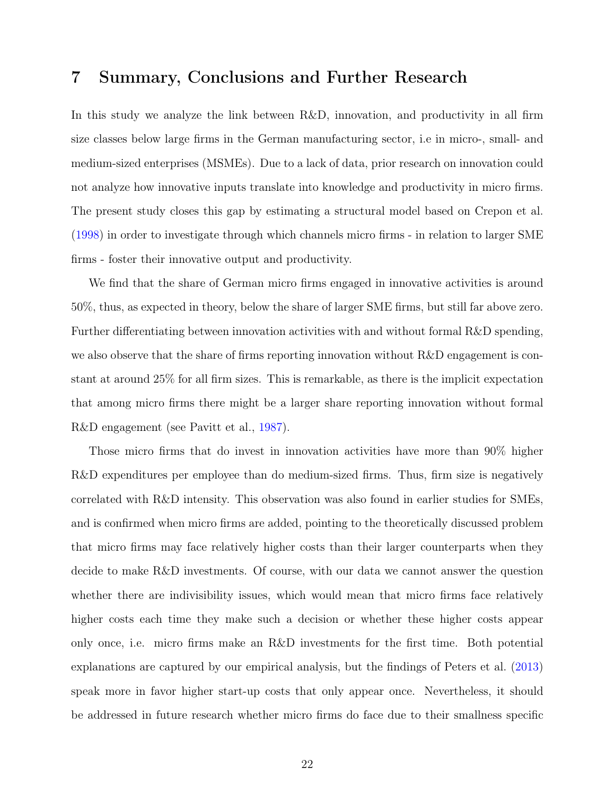### <span id="page-24-0"></span>7 Summary, Conclusions and Further Research

In this study we analyze the link between R&D, innovation, and productivity in all firm size classes below large firms in the German manufacturing sector, i.e in micro-, small- and medium-sized enterprises (MSMEs). Due to a lack of data, prior research on innovation could not analyze how innovative inputs translate into knowledge and productivity in micro firms. The present study closes this gap by estimating a structural model based on Crepon et al. [\(1998\)](#page-29-0) in order to investigate through which channels micro firms - in relation to larger SME firms - foster their innovative output and productivity.

We find that the share of German micro firms engaged in innovative activities is around 50%, thus, as expected in theory, below the share of larger SME firms, but still far above zero. Further differentiating between innovation activities with and without formal R&D spending, we also observe that the share of firms reporting innovation without R&D engagement is constant at around 25% for all firm sizes. This is remarkable, as there is the implicit expectation that among micro firms there might be a larger share reporting innovation without formal R&D engagement (see Pavitt et al., [1987\)](#page-31-9).

Those micro firms that do invest in innovation activities have more than 90% higher R&D expenditures per employee than do medium-sized firms. Thus, firm size is negatively correlated with R&D intensity. This observation was also found in earlier studies for SMEs, and is confirmed when micro firms are added, pointing to the theoretically discussed problem that micro firms may face relatively higher costs than their larger counterparts when they decide to make R&D investments. Of course, with our data we cannot answer the question whether there are indivisibility issues, which would mean that micro firms face relatively higher costs each time they make such a decision or whether these higher costs appear only once, i.e. micro firms make an R&D investments for the first time. Both potential explanations are captured by our empirical analysis, but the findings of Peters et al. [\(2013\)](#page-32-2) speak more in favor higher start-up costs that only appear once. Nevertheless, it should be addressed in future research whether micro firms do face due to their smallness specific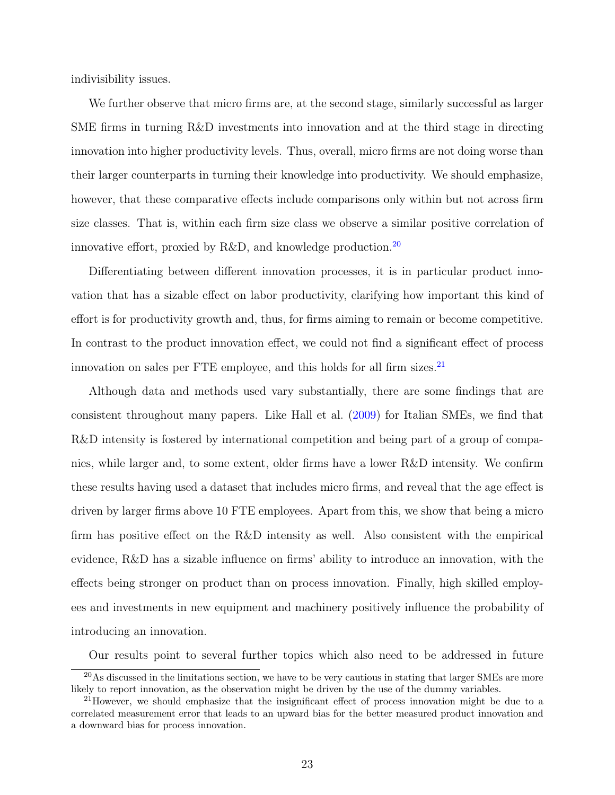indivisibility issues.

We further observe that micro firms are, at the second stage, similarly successful as larger SME firms in turning R&D investments into innovation and at the third stage in directing innovation into higher productivity levels. Thus, overall, micro firms are not doing worse than their larger counterparts in turning their knowledge into productivity. We should emphasize, however, that these comparative effects include comparisons only within but not across firm size classes. That is, within each firm size class we observe a similar positive correlation of innovative effort, proxied by  $R&D$ , and knowledge production.<sup>[20](#page--1-0)</sup>

Differentiating between different innovation processes, it is in particular product innovation that has a sizable effect on labor productivity, clarifying how important this kind of effort is for productivity growth and, thus, for firms aiming to remain or become competitive. In contrast to the product innovation effect, we could not find a significant effect of process innovation on sales per FTE employee, and this holds for all firm sizes. $^{21}$  $^{21}$  $^{21}$ 

Although data and methods used vary substantially, there are some findings that are consistent throughout many papers. Like Hall et al. [\(2009\)](#page-30-0) for Italian SMEs, we find that R&D intensity is fostered by international competition and being part of a group of companies, while larger and, to some extent, older firms have a lower R&D intensity. We confirm these results having used a dataset that includes micro firms, and reveal that the age effect is driven by larger firms above 10 FTE employees. Apart from this, we show that being a micro firm has positive effect on the R&D intensity as well. Also consistent with the empirical evidence, R&D has a sizable influence on firms' ability to introduce an innovation, with the effects being stronger on product than on process innovation. Finally, high skilled employees and investments in new equipment and machinery positively influence the probability of introducing an innovation.

Our results point to several further topics which also need to be addressed in future

 $^{20}$ As discussed in the limitations section, we have to be very cautious in stating that larger SMEs are more likely to report innovation, as the observation might be driven by the use of the dummy variables.

 $21$ However, we should emphasize that the insignificant effect of process innovation might be due to a correlated measurement error that leads to an upward bias for the better measured product innovation and a downward bias for process innovation.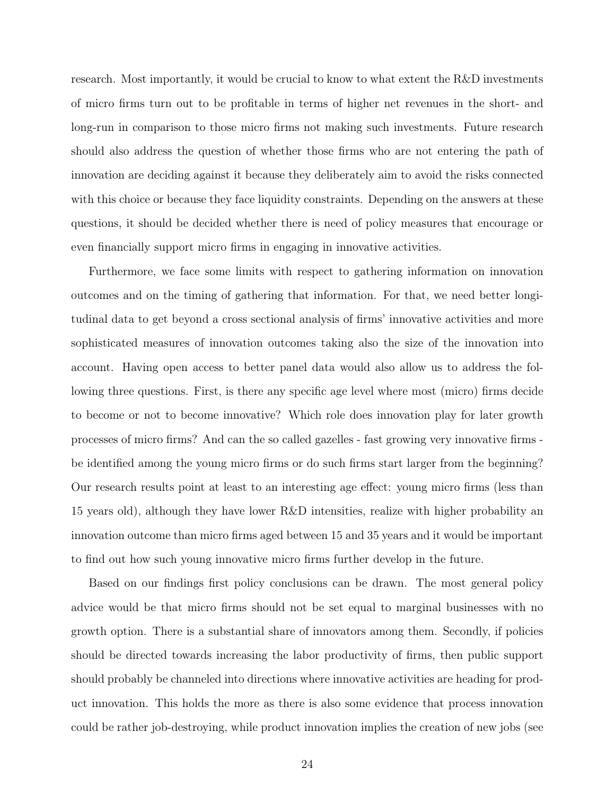research. Most importantly, it would be crucial to know to what extent the R&D investments of micro firms turn out to be profitable in terms of higher net revenues in the short- and long-run in comparison to those micro firms not making such investments. Future research should also address the question of whether those firms who are not entering the path of innovation are deciding against it because they deliberately aim to avoid the risks connected with this choice or because they face liquidity constraints. Depending on the answers at these questions, it should be decided whether there is need of policy measures that encourage or even financially support micro firms in engaging in innovative activities.

Furthermore, we face some limits with respect to gathering information on innovation outcomes and on the timing of gathering that information. For that, we need better longitudinal data to get beyond a cross sectional analysis of firms' innovative activities and more sophisticated measures of innovation outcomes taking also the size of the innovation into account. Having open access to better panel data would also allow us to address the following three questions. First, is there any specific age level where most (micro) firms decide to become or not to become innovative? Which role does innovation play for later growth processes of micro firms? And can the so called gazelles - fast growing very innovative firms be identified among the young micro firms or do such firms start larger from the beginning? Our research results point at least to an interesting age effect: young micro firms (less than 15 years old), although they have lower R&D intensities, realize with higher probability an innovation outcome than micro firms aged between 15 and 35 years and it would be important to find out how such young innovative micro firms further develop in the future.

Based on our findings first policy conclusions can be drawn. The most general policy advice would be that micro firms should not be set equal to marginal businesses with no growth option. There is a substantial share of innovators among them. Secondly, if policies should be directed towards increasing the labor productivity of firms, then public support should probably be channeled into directions where innovative activities are heading for product innovation. This holds the more as there is also some evidence that process innovation could be rather job-destroying, while product innovation implies the creation of new jobs (see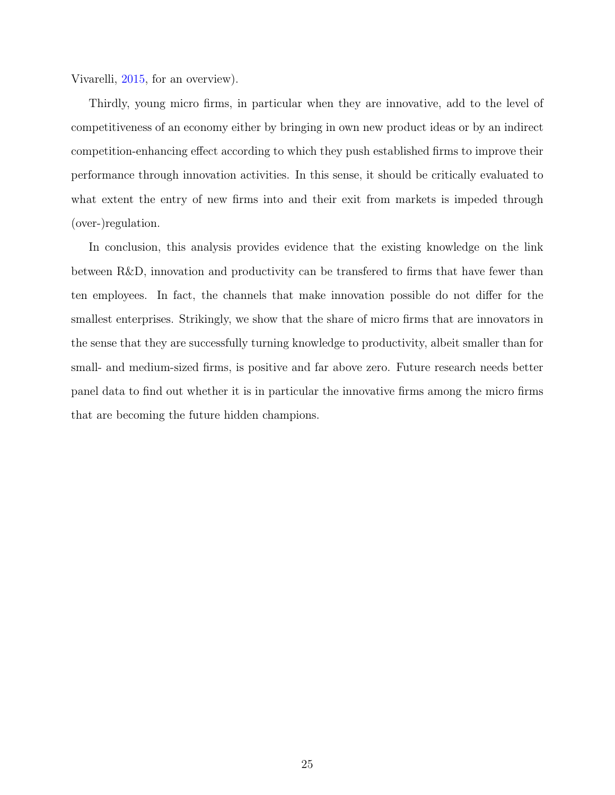Vivarelli, [2015,](#page-32-9) for an overview).

Thirdly, young micro firms, in particular when they are innovative, add to the level of competitiveness of an economy either by bringing in own new product ideas or by an indirect competition-enhancing effect according to which they push established firms to improve their performance through innovation activities. In this sense, it should be critically evaluated to what extent the entry of new firms into and their exit from markets is impeded through (over-)regulation.

In conclusion, this analysis provides evidence that the existing knowledge on the link between R&D, innovation and productivity can be transfered to firms that have fewer than ten employees. In fact, the channels that make innovation possible do not differ for the smallest enterprises. Strikingly, we show that the share of micro firms that are innovators in the sense that they are successfully turning knowledge to productivity, albeit smaller than for small- and medium-sized firms, is positive and far above zero. Future research needs better panel data to find out whether it is in particular the innovative firms among the micro firms that are becoming the future hidden champions.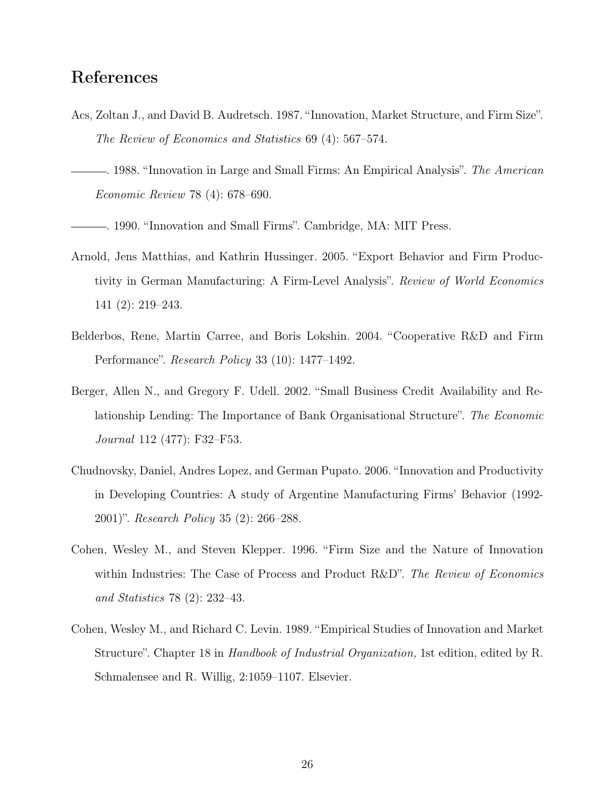## References

- <span id="page-28-0"></span>Acs, Zoltan J., and David B. Audretsch. 1987. "Innovation, Market Structure, and Firm Size". The Review of Economics and Statistics 69 (4): 567–574.
- <span id="page-28-1"></span>. 1988. "Innovation in Large and Small Firms: An Empirical Analysis". The American Economic Review 78 (4): 678–690.

<span id="page-28-2"></span>. 1990. "Innovation and Small Firms". Cambridge, MA: MIT Press.

- <span id="page-28-7"></span>Arnold, Jens Matthias, and Kathrin Hussinger. 2005. "Export Behavior and Firm Productivity in German Manufacturing: A Firm-Level Analysis". Review of World Economics 141 (2): 219–243.
- <span id="page-28-8"></span>Belderbos, Rene, Martin Carree, and Boris Lokshin. 2004. "Cooperative R&D and Firm Performance". Research Policy 33 (10): 1477–1492.
- <span id="page-28-5"></span>Berger, Allen N., and Gregory F. Udell. 2002. "Small Business Credit Availability and Relationship Lending: The Importance of Bank Organisational Structure". The Economic Journal 112 (477): F32–F53.
- <span id="page-28-3"></span>Chudnovsky, Daniel, Andres Lopez, and German Pupato. 2006. "Innovation and Productivity in Developing Countries: A study of Argentine Manufacturing Firms' Behavior (1992- 2001)". Research Policy 35 (2): 266–288.
- <span id="page-28-6"></span>Cohen, Wesley M., and Steven Klepper. 1996. "Firm Size and the Nature of Innovation within Industries: The Case of Process and Product R&D". The Review of Economics and Statistics 78 (2): 232–43.
- <span id="page-28-4"></span>Cohen, Wesley M., and Richard C. Levin. 1989. "Empirical Studies of Innovation and Market Structure". Chapter 18 in *Handbook of Industrial Organization*, 1st edition, edited by R. Schmalensee and R. Willig, 2:1059–1107. Elsevier.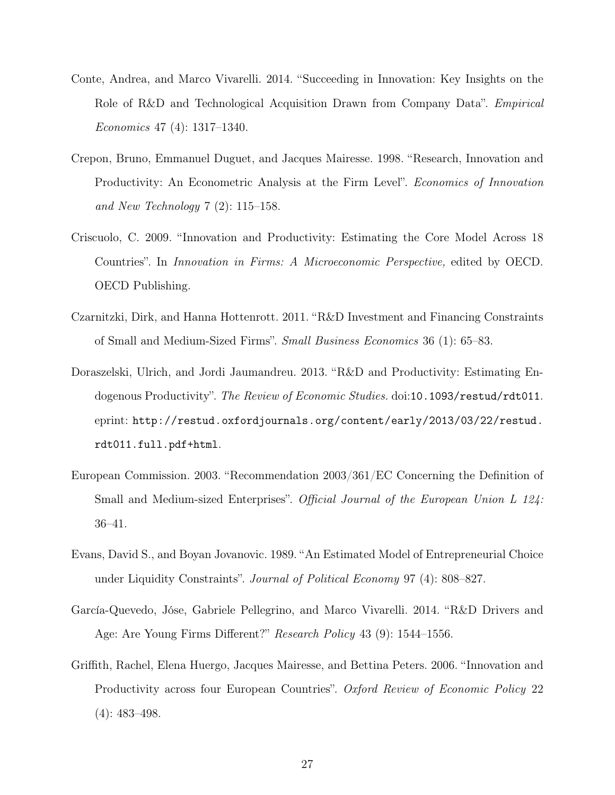- <span id="page-29-5"></span>Conte, Andrea, and Marco Vivarelli. 2014. "Succeeding in Innovation: Key Insights on the Role of R&D and Technological Acquisition Drawn from Company Data". *Empirical* Economics 47 (4): 1317–1340.
- <span id="page-29-0"></span>Crepon, Bruno, Emmanuel Duguet, and Jacques Mairesse. 1998. "Research, Innovation and Productivity: An Econometric Analysis at the Firm Level". Economics of Innovation and New Technology 7 (2): 115–158.
- <span id="page-29-7"></span>Criscuolo, C. 2009. "Innovation and Productivity: Estimating the Core Model Across 18 Countries". In Innovation in Firms: A Microeconomic Perspective, edited by OECD. OECD Publishing.
- <span id="page-29-3"></span>Czarnitzki, Dirk, and Hanna Hottenrott. 2011. "R&D Investment and Financing Constraints of Small and Medium-Sized Firms". Small Business Economics 36 (1): 65–83.
- <span id="page-29-8"></span>Doraszelski, Ulrich, and Jordi Jaumandreu. 2013. "R&D and Productivity: Estimating En-dogenous Productivity". The Review of Economic Studies. doi:[10.1093/restud/rdt011](http://dx.doi.org/10.1093/restud/rdt011). eprint: [http://restud.oxfordjournals.org/content/early/2013/03/22/restud.](http://restud.oxfordjournals.org/content/early/2013/03/22/restud.rdt011.full.pdf+html) [rdt011.full.pdf+html](http://restud.oxfordjournals.org/content/early/2013/03/22/restud.rdt011.full.pdf+html).
- <span id="page-29-1"></span>European Commission. 2003. "Recommendation 2003/361/EC Concerning the Definition of Small and Medium-sized Enterprises". Official Journal of the European Union L 124: 36–41.
- <span id="page-29-2"></span>Evans, David S., and Boyan Jovanovic. 1989. "An Estimated Model of Entrepreneurial Choice under Liquidity Constraints". Journal of Political Economy 97 (4): 808–827.
- <span id="page-29-6"></span>García-Quevedo, Jóse, Gabriele Pellegrino, and Marco Vivarelli. 2014. "R&D Drivers and Age: Are Young Firms Different?" Research Policy 43 (9): 1544–1556.
- <span id="page-29-4"></span>Griffith, Rachel, Elena Huergo, Jacques Mairesse, and Bettina Peters. 2006. "Innovation and Productivity across four European Countries". Oxford Review of Economic Policy 22 (4): 483–498.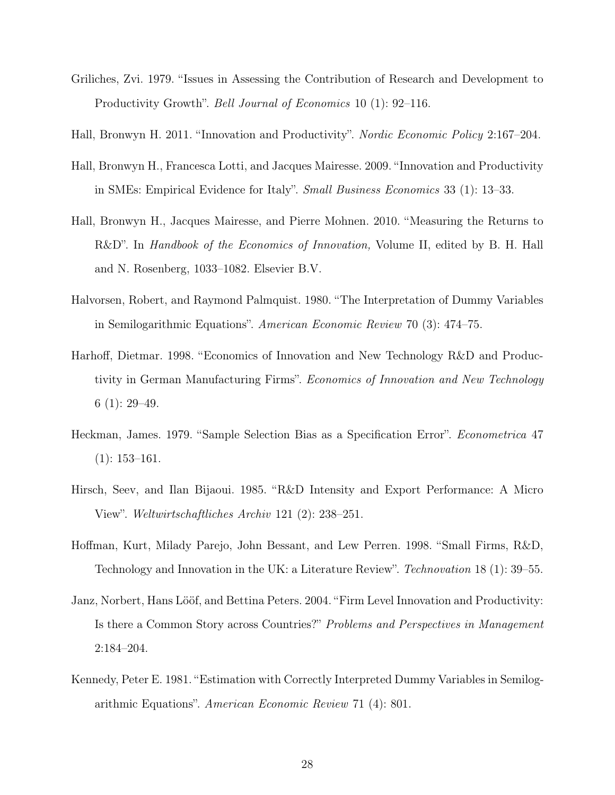- <span id="page-30-2"></span>Griliches, Zvi. 1979. "Issues in Assessing the Contribution of Research and Development to Productivity Growth". *Bell Journal of Economics* 10 (1): 92–116.
- <span id="page-30-4"></span>Hall, Bronwyn H. 2011. "Innovation and Productivity". Nordic Economic Policy 2:167–204.
- <span id="page-30-0"></span>Hall, Bronwyn H., Francesca Lotti, and Jacques Mairesse. 2009. "Innovation and Productivity in SMEs: Empirical Evidence for Italy". Small Business Economics 33 (1): 13–33.
- <span id="page-30-3"></span>Hall, Bronwyn H., Jacques Mairesse, and Pierre Mohnen. 2010. "Measuring the Returns to R&D". In *Handbook of the Economics of Innovation*, Volume II, edited by B. H. Hall and N. Rosenberg, 1033–1082. Elsevier B.V.
- <span id="page-30-8"></span>Halvorsen, Robert, and Raymond Palmquist. 1980. "The Interpretation of Dummy Variables in Semilogarithmic Equations". American Economic Review 70 (3): 474–75.
- <span id="page-30-5"></span>Harhoff, Dietmar. 1998. "Economics of Innovation and New Technology R&D and Productivity in German Manufacturing Firms". Economics of Innovation and New Technology  $6(1): 29-49.$
- <span id="page-30-7"></span>Heckman, James. 1979. "Sample Selection Bias as a Specification Error". Econometrica 47 (1): 153–161.
- <span id="page-30-10"></span>Hirsch, Seev, and Ilan Bijaoui. 1985. "R&D Intensity and Export Performance: A Micro View". Weltwirtschaftliches Archiv 121 (2): 238–251.
- <span id="page-30-1"></span>Hoffman, Kurt, Milady Parejo, John Bessant, and Lew Perren. 1998. "Small Firms, R&D, Technology and Innovation in the UK: a Literature Review". Technovation 18 (1): 39–55.
- <span id="page-30-6"></span>Janz, Norbert, Hans Lööf, and Bettina Peters. 2004. "Firm Level Innovation and Productivity: Is there a Common Story across Countries?" Problems and Perspectives in Management 2:184–204.
- <span id="page-30-9"></span>Kennedy, Peter E. 1981. "Estimation with Correctly Interpreted Dummy Variables in Semilogarithmic Equations". American Economic Review 71 (4): 801.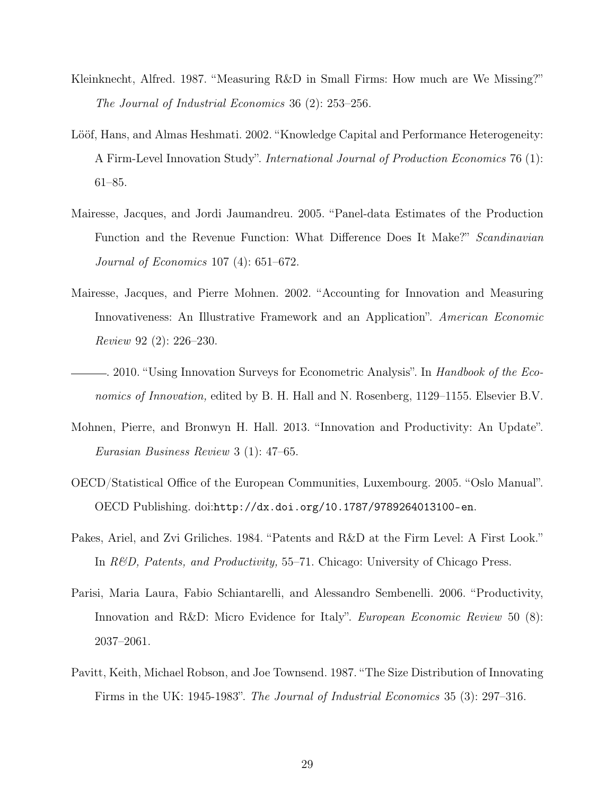- <span id="page-31-0"></span>Kleinknecht, Alfred. 1987. "Measuring R&D in Small Firms: How much are We Missing?" The Journal of Industrial Economics 36 (2): 253–256.
- <span id="page-31-6"></span>Lööf, Hans, and Almas Heshmati. 2002. "Knowledge Capital and Performance Heterogeneity: A Firm-Level Innovation Study". International Journal of Production Economics 76 (1): 61–85.
- <span id="page-31-8"></span>Mairesse, Jacques, and Jordi Jaumandreu. 2005. "Panel-data Estimates of the Production Function and the Revenue Function: What Difference Does It Make?" Scandinavian Journal of Economics 107 (4): 651–672.
- <span id="page-31-1"></span>Mairesse, Jacques, and Pierre Mohnen. 2002. "Accounting for Innovation and Measuring Innovativeness: An Illustrative Framework and an Application". American Economic Review 92 (2): 226–230.
- <span id="page-31-2"></span>. 2010. "Using Innovation Surveys for Econometric Analysis". In Handbook of the Economics of Innovation, edited by B. H. Hall and N. Rosenberg, 1129–1155. Elsevier B.V.
- <span id="page-31-3"></span>Mohnen, Pierre, and Bronwyn H. Hall. 2013. "Innovation and Productivity: An Update". Eurasian Business Review 3 (1): 47–65.
- <span id="page-31-5"></span>OECD/Statistical Office of the European Communities, Luxembourg. 2005. "Oslo Manual". OECD Publishing. doi:[http://dx.doi.org/10.1787/9789264013100-en](http://dx.doi.org/http://dx.doi.org/10.1787/9789264013100-en).
- <span id="page-31-4"></span>Pakes, Ariel, and Zvi Griliches. 1984. "Patents and R&D at the Firm Level: A First Look." In R&D, Patents, and Productivity, 55–71. Chicago: University of Chicago Press.
- <span id="page-31-7"></span>Parisi, Maria Laura, Fabio Schiantarelli, and Alessandro Sembenelli. 2006. "Productivity, Innovation and R&D: Micro Evidence for Italy". European Economic Review 50 (8): 2037–2061.
- <span id="page-31-9"></span>Pavitt, Keith, Michael Robson, and Joe Townsend. 1987. "The Size Distribution of Innovating Firms in the UK: 1945-1983". The Journal of Industrial Economics 35 (3): 297–316.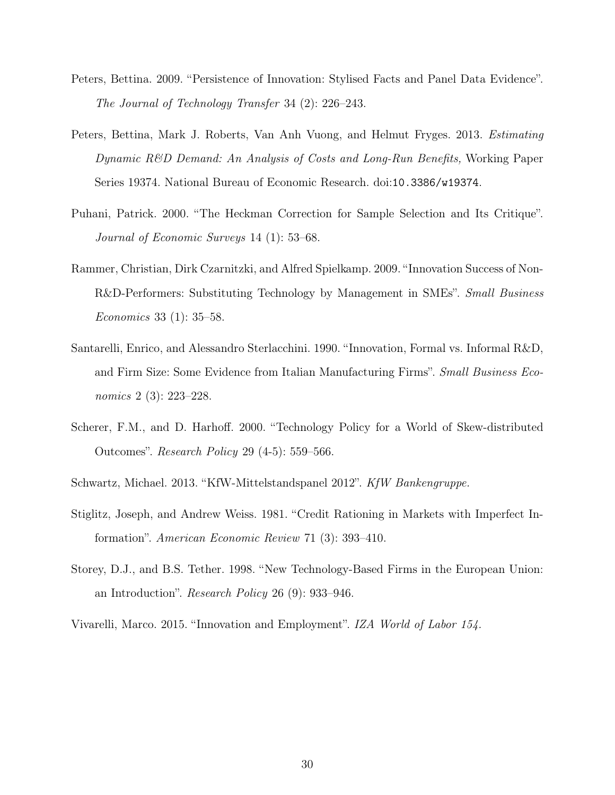- <span id="page-32-7"></span>Peters, Bettina. 2009. "Persistence of Innovation: Stylised Facts and Panel Data Evidence". The Journal of Technology Transfer 34 (2): 226–243.
- <span id="page-32-2"></span>Peters, Bettina, Mark J. Roberts, Van Anh Vuong, and Helmut Fryges. 2013. Estimating Dynamic R&D Demand: An Analysis of Costs and Long-Run Benefits, Working Paper Series 19374. National Bureau of Economic Research. doi:[10.3386/w19374](http://dx.doi.org/10.3386/w19374).
- <span id="page-32-8"></span>Puhani, Patrick. 2000. "The Heckman Correction for Sample Selection and Its Critique". Journal of Economic Surveys 14 (1): 53–68.
- <span id="page-32-1"></span>Rammer, Christian, Dirk Czarnitzki, and Alfred Spielkamp. 2009. "Innovation Success of Non-R&D-Performers: Substituting Technology by Management in SMEs". Small Business Economics 33 (1): 35–58.
- <span id="page-32-0"></span>Santarelli, Enrico, and Alessandro Sterlacchini. 1990. "Innovation, Formal vs. Informal R&D, and Firm Size: Some Evidence from Italian Manufacturing Firms". Small Business Economics 2 (3): 223–228.
- <span id="page-32-6"></span>Scherer, F.M., and D. Harhoff. 2000. "Technology Policy for a World of Skew-distributed Outcomes". Research Policy 29 (4-5): 559–566.
- <span id="page-32-5"></span>Schwartz, Michael. 2013. "KfW-Mittelstandspanel 2012". KfW Bankengruppe.
- <span id="page-32-3"></span>Stiglitz, Joseph, and Andrew Weiss. 1981. "Credit Rationing in Markets with Imperfect Information". American Economic Review 71 (3): 393–410.
- <span id="page-32-4"></span>Storey, D.J., and B.S. Tether. 1998. "New Technology-Based Firms in the European Union: an Introduction". Research Policy 26 (9): 933–946.
- <span id="page-32-9"></span>Vivarelli, Marco. 2015. "Innovation and Employment". IZA World of Labor 154.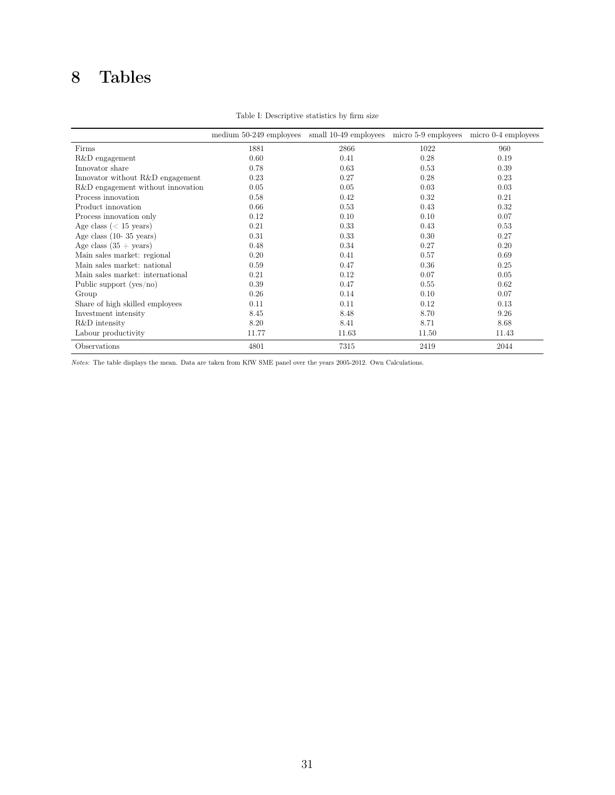## 8 Tables

<span id="page-33-0"></span>

|                                   | medium 50-249 employees small 10-49 employees micro 5-9 employees |       |       | micro 0-4 employees |
|-----------------------------------|-------------------------------------------------------------------|-------|-------|---------------------|
| Firms                             | 1881                                                              | 2866  | 1022  | 960                 |
| R&D engagement                    | 0.60                                                              | 0.41  | 0.28  | 0.19                |
| Innovator share                   | 0.78                                                              | 0.63  | 0.53  | 0.39                |
| Innovator without R&D engagement  | 0.23                                                              | 0.27  | 0.28  | 0.23                |
| R&D engagement without innovation | 0.05                                                              | 0.05  | 0.03  | 0.03                |
| Process innovation                | 0.58                                                              | 0.42  | 0.32  | 0.21                |
| Product innovation                | 0.66                                                              | 0.53  | 0.43  | 0.32                |
| Process innovation only           | 0.12                                                              | 0.10  | 0.10  | 0.07                |
| Age class ( $< 15$ years)         | 0.21                                                              | 0.33  | 0.43  | 0.53                |
| Age class $(10-35 \text{ years})$ | 0.31                                                              | 0.33  | 0.30  | 0.27                |
| Age class $(35 + \text{years})$   | 0.48                                                              | 0.34  | 0.27  | 0.20                |
| Main sales market: regional       | 0.20                                                              | 0.41  | 0.57  | 0.69                |
| Main sales market: national       | 0.59                                                              | 0.47  | 0.36  | 0.25                |
| Main sales market: international  | 0.21                                                              | 0.12  | 0.07  | 0.05                |
| Public support $(yes/no)$         | 0.39                                                              | 0.47  | 0.55  | 0.62                |
| Group                             | 0.26                                                              | 0.14  | 0.10  | 0.07                |
| Share of high skilled employees   | 0.11                                                              | 0.11  | 0.12  | 0.13                |
| Investment intensity              | 8.45                                                              | 8.48  | 8.70  | 9.26                |
| R&D intensity                     | 8.20                                                              | 8.41  | 8.71  | 8.68                |
| Labour productivity               | 11.77                                                             | 11.63 | 11.50 | 11.43               |
| Observations                      | 4801                                                              | 7315  | 2419  | 2044                |

#### Table I: Descriptive statistics by firm size

 $Notes:$  The table displays the mean. Data are taken from KfW SME panel over the years 2005-2012. Own Calculations.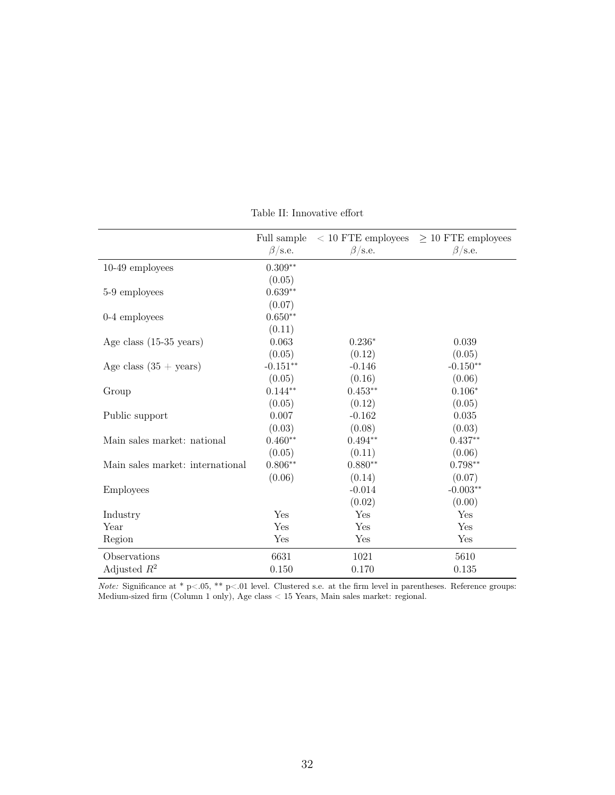<span id="page-34-0"></span>

|                                   | Full sample   |               | $\langle 10$ FTE employees $\geq 10$ FTE employees |
|-----------------------------------|---------------|---------------|----------------------------------------------------|
|                                   | $\beta$ /s.e. | $\beta$ /s.e. | $\beta$ /s.e.                                      |
| 10-49 employees                   | $0.309**$     |               |                                                    |
|                                   | (0.05)        |               |                                                    |
| 5-9 employees                     | $0.639**$     |               |                                                    |
|                                   | (0.07)        |               |                                                    |
| 0-4 employees                     | $0.650**$     |               |                                                    |
|                                   | (0.11)        |               |                                                    |
| Age class $(15-35 \text{ years})$ | 0.063         | $0.236*$      | 0.039                                              |
|                                   | (0.05)        | (0.12)        | (0.05)                                             |
| Age class $(35 + \text{years})$   | $-0.151**$    | $-0.146$      | $-0.150**$                                         |
|                                   | (0.05)        | (0.16)        | (0.06)                                             |
| Group                             | $0.144**$     | $0.453**$     | $0.106*$                                           |
|                                   | (0.05)        | (0.12)        | (0.05)                                             |
| Public support                    | 0.007         | $-0.162$      | 0.035                                              |
|                                   | (0.03)        | (0.08)        | (0.03)                                             |
| Main sales market: national       | $0.460**$     | $0.494**$     | $0.437**$                                          |
|                                   | (0.05)        | (0.11)        | (0.06)                                             |
| Main sales market: international  | $0.806**$     | $0.880**$     | $0.798**$                                          |
|                                   | (0.06)        | (0.14)        | (0.07)                                             |
| <b>Employees</b>                  |               | $-0.014$      | $-0.003**$                                         |
|                                   |               | (0.02)        | (0.00)                                             |
| Industry                          | Yes           | Yes           | Yes                                                |
| Year                              | Yes           | Yes           | Yes                                                |
| Region                            | Yes           | Yes           | Yes                                                |
| Observations                      | 6631          | 1021          | 5610                                               |
| Adjusted $R^2$                    | 0.150         | 0.170         | 0.135                                              |

Table II: Innovative effort

Note: Significance at  $*$  p<.05,  $**$  p<.01 level. Clustered s.e. at the firm level in parentheses. Reference groups: Medium-sized firm (Column 1 only), Age class  $<15$  Years, Main sales market: regional.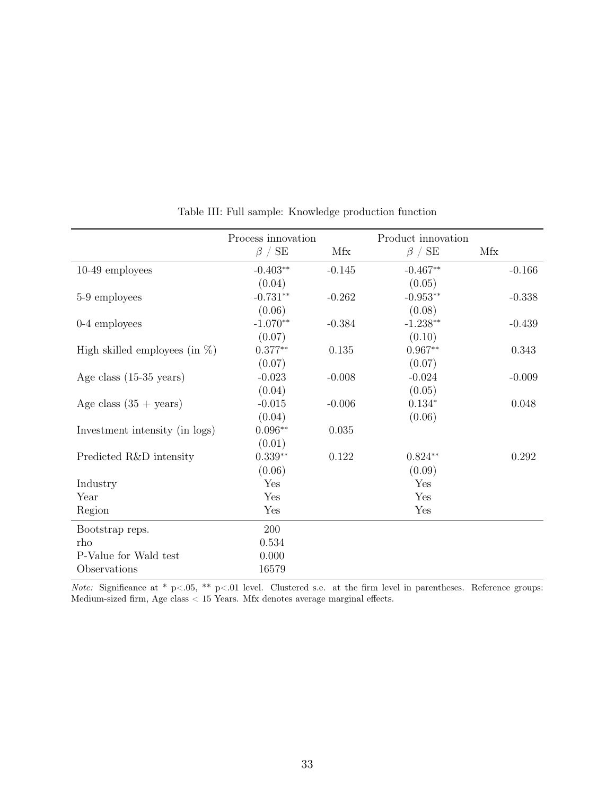<span id="page-35-0"></span>

|                                   | Process innovation |          | Product innovation |          |
|-----------------------------------|--------------------|----------|--------------------|----------|
|                                   | $\beta$ / SE       | Mfx      | $\beta$ / SE       | Mfx      |
| 10-49 employees                   | $-0.403**$         | $-0.145$ | $-0.467**$         | $-0.166$ |
|                                   | (0.04)             |          | (0.05)             |          |
| 5-9 employees                     | $-0.731**$         | $-0.262$ | $-0.953**$         | $-0.338$ |
|                                   | (0.06)             |          | (0.08)             |          |
| $0-4$ employees                   | $-1.070**$         | $-0.384$ | $-1.238**$         | $-0.439$ |
|                                   | (0.07)             |          | (0.10)             |          |
| High skilled employees (in $\%$ ) | $0.377**$          | 0.135    | $0.967**$          | 0.343    |
|                                   | (0.07)             |          | (0.07)             |          |
| Age class $(15-35 \text{ years})$ | $-0.023$           | $-0.008$ | $-0.024$           | $-0.009$ |
|                                   | (0.04)             |          | (0.05)             |          |
| Age class $(35 + \text{years})$   | $-0.015$           | $-0.006$ | $0.134*$           | 0.048    |
|                                   | (0.04)             |          | (0.06)             |          |
| Investment intensity (in logs)    | $0.096**$          | 0.035    |                    |          |
|                                   | (0.01)             |          |                    |          |
| Predicted R&D intensity           | $0.339**$          | 0.122    | $0.824**$          | 0.292    |
|                                   | (0.06)             |          | (0.09)             |          |
| Industry                          | Yes                |          | Yes                |          |
| Year                              | Yes                |          | Yes                |          |
| Region                            | Yes                |          | Yes                |          |
| Bootstrap reps.                   | 200                |          |                    |          |
| rho                               | 0.534              |          |                    |          |
| P-Value for Wald test             | 0.000              |          |                    |          |
| Observations                      | 16579              |          |                    |          |

Table III: Full sample: Knowledge production function

Note: Significance at  $*$  p<.05,  $**$  p<.01 level. Clustered s.e. at the firm level in parentheses. Reference groups: Medium-sized firm, Age class < 15 Years. Mfx denotes average marginal effects.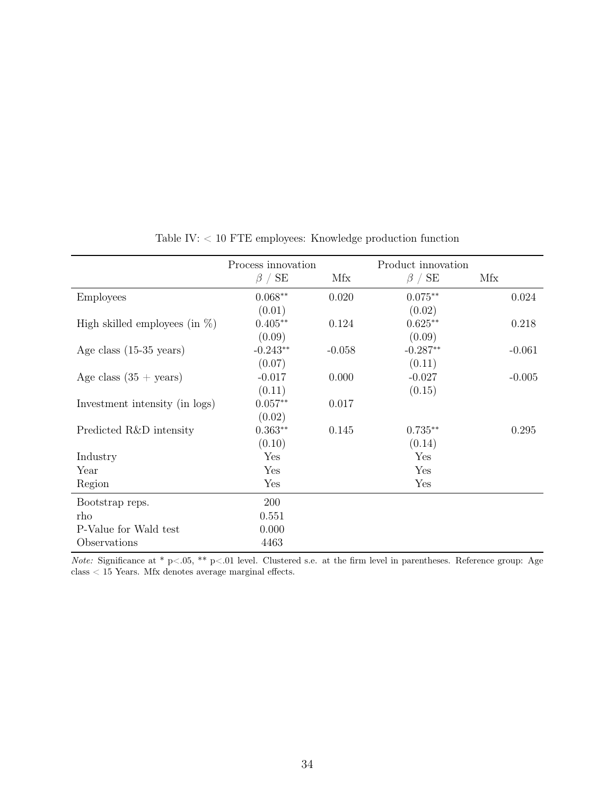<span id="page-36-0"></span>

|                                   | Process innovation |          | Product innovation |          |
|-----------------------------------|--------------------|----------|--------------------|----------|
|                                   | $\beta$ / SE       | Mfx      | $\beta$ / SE       | Mfx      |
| <b>Employees</b>                  | $0.068**$          | 0.020    | $0.075**$          | 0.024    |
|                                   | (0.01)             |          | (0.02)             |          |
| High skilled employees (in $\%$ ) | $0.405**$          | 0.124    | $0.625**$          | 0.218    |
|                                   | (0.09)             |          | (0.09)             |          |
| Age class $(15-35 \text{ years})$ | $-0.243**$         | $-0.058$ | $-0.287**$         | $-0.061$ |
|                                   | (0.07)             |          | (0.11)             |          |
| Age class $(35 + \text{years})$   | $-0.017$           | 0.000    | $-0.027$           | $-0.005$ |
|                                   | (0.11)             |          | (0.15)             |          |
| Investment intensity (in logs)    | $0.057**$          | 0.017    |                    |          |
|                                   | (0.02)             |          |                    |          |
| Predicted R&D intensity           | $0.363**$          | 0.145    | $0.735***$         | 0.295    |
|                                   | (0.10)             |          | (0.14)             |          |
| Industry                          | Yes                |          | Yes                |          |
| Year                              | Yes                |          | Yes                |          |
| Region                            | Yes                |          | Yes                |          |
| Bootstrap reps.                   | 200                |          |                    |          |
| rho                               | 0.551              |          |                    |          |
| P-Value for Wald test             | 0.000              |          |                    |          |
| Observations                      | 4463               |          |                    |          |

Table IV:  $<10\ {\rm FTE}$  employees: Knowledge production function

Note: Significance at  $*$  p<.05,  $**$  p<.01 level. Clustered s.e. at the firm level in parentheses. Reference group: Age  $\rm{class} < 15$  Years. Mfx denotes average marginal effects.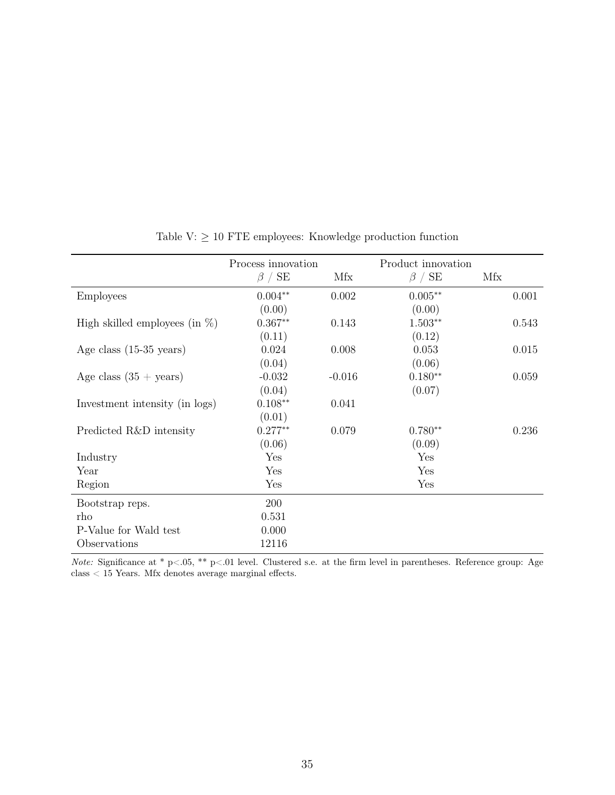<span id="page-37-0"></span>

|                                   | Process innovation |          | Product innovation |     |       |
|-----------------------------------|--------------------|----------|--------------------|-----|-------|
|                                   | $\beta$ / SE       | Mfx      | $\beta$ / SE       | Mfx |       |
| <b>Employees</b>                  | $0.004**$          | 0.002    | $0.005**$          |     | 0.001 |
|                                   | (0.00)             |          | (0.00)             |     |       |
| High skilled employees (in $\%$ ) | $0.367**$          | 0.143    | $1.503**$          |     | 0.543 |
|                                   | (0.11)             |          | (0.12)             |     |       |
| Age class $(15-35 \text{ years})$ | 0.024              | 0.008    | 0.053              |     | 0.015 |
|                                   | (0.04)             |          | (0.06)             |     |       |
| Age class $(35 + \text{years})$   | $-0.032$           | $-0.016$ | $0.180**$          |     | 0.059 |
|                                   | (0.04)             |          | (0.07)             |     |       |
| Investment intensity (in logs)    | $0.108**$          | 0.041    |                    |     |       |
|                                   | (0.01)             |          |                    |     |       |
| Predicted R&D intensity           | $0.277**$          | 0.079    | $0.780**$          |     | 0.236 |
|                                   | (0.06)             |          | (0.09)             |     |       |
| Industry                          | Yes                |          | Yes                |     |       |
| Year                              | Yes                |          | Yes                |     |       |
| Region                            | Yes                |          | Yes                |     |       |
| Bootstrap reps.                   | 200                |          |                    |     |       |
| rho                               | 0.531              |          |                    |     |       |
| P-Value for Wald test             | 0.000              |          |                    |     |       |
| Observations                      | 12116              |          |                    |     |       |

Table V:  $\geq$  10 FTE employees: Knowledge production function

Note: Significance at  $*$  p $\lt$ .05,  $**$  p $\lt$ .01 level. Clustered s.e. at the firm level in parentheses. Reference group: Age class < 15 Years. Mfx denotes average marginal effects.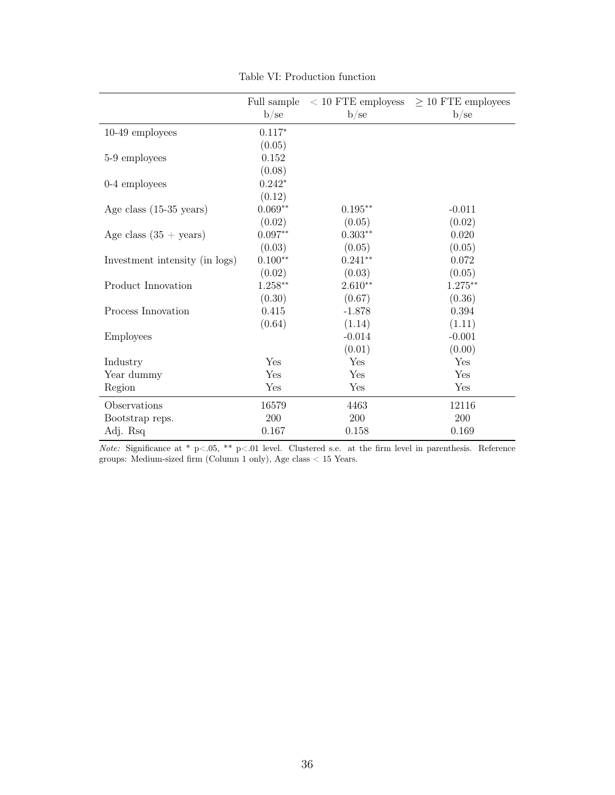<span id="page-38-0"></span>

|                                   | Full sample | $< 10$ FTE employess | $\geq 10$ FTE employees |
|-----------------------------------|-------------|----------------------|-------------------------|
|                                   | b/se        | b/se                 | b/se                    |
| 10-49 employees                   | $0.117*$    |                      |                         |
|                                   | (0.05)      |                      |                         |
| 5-9 employees                     | 0.152       |                      |                         |
|                                   | (0.08)      |                      |                         |
| $0-4$ employees                   | $0.242*$    |                      |                         |
|                                   | (0.12)      |                      |                         |
| Age class $(15-35 \text{ years})$ | $0.069**$   | $0.195**$            | $-0.011$                |
|                                   | (0.02)      | (0.05)               | (0.02)                  |
| Age class $(35 + \text{years})$   | $0.097**$   | $0.303**$            | 0.020                   |
|                                   | (0.03)      | (0.05)               | (0.05)                  |
| Investment intensity (in logs)    | $0.100**$   | $0.241**$            | 0.072                   |
|                                   | (0.02)      | (0.03)               | (0.05)                  |
| Product Innovation                | $1.258**$   | $2.610**$            | $1.275**$               |
|                                   | (0.30)      | (0.67)               | (0.36)                  |
| Process Innovation                | 0.415       | $-1.878$             | 0.394                   |
|                                   | (0.64)      | (1.14)               | (1.11)                  |
| <b>Employees</b>                  |             | $-0.014$             | $-0.001$                |
|                                   |             | (0.01)               | (0.00)                  |
| Industry                          | Yes         | Yes                  | Yes                     |
| Year dummy                        | Yes         | Yes                  | Yes                     |
| Region                            | Yes         | Yes                  | Yes                     |
| Observations                      | 16579       | 4463                 | 12116                   |
| Bootstrap reps.                   | 200         | 200                  | 200                     |
| Adj. Rsq                          | 0.167       | 0.158                | 0.169                   |

Table VI: Production function

Note: Significance at  $*$  p $\lt$ .05,  $**$  p $\lt$ .01 level. Clustered s.e. at the firm level in parenthesis. Reference groups: Medium-sized firm (Column 1 only), Age class < 15 Years.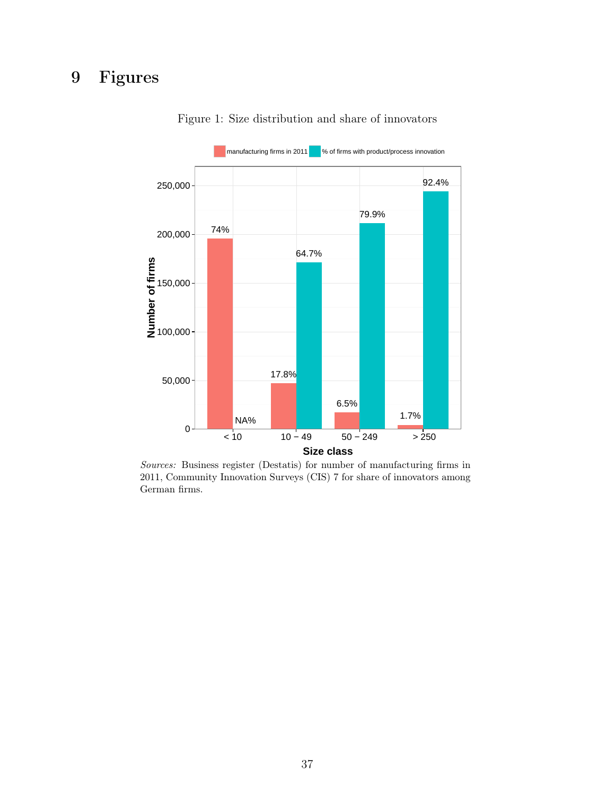## <span id="page-39-0"></span>9 Figures



Figure 1: Size distribution and share of innovators

Sources: Business register (Destatis) for number of manufacturing firms in 2011, Community Innovation Surveys (CIS) 7 for share of innovators among German firms.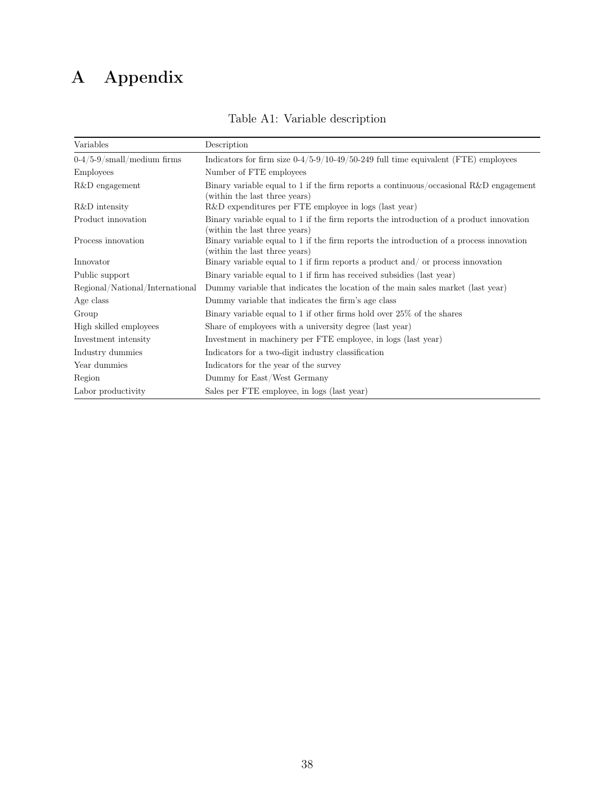## A Appendix

| Variables                       | Description                                                                                                               |
|---------------------------------|---------------------------------------------------------------------------------------------------------------------------|
| $0-4/5-9$ /small/medium firms   | Indicators for firm size $0.4/5.9/10.49/50.249$ full time equivalent (FTE) employees                                      |
| <b>Employees</b>                | Number of FTE employees                                                                                                   |
| $R&D$ engagement                | Binary variable equal to 1 if the firm reports a continuous/occasional $R\&D$ engagement<br>(within the last three years) |
| R&D intensity                   | R&D expenditures per FTE employee in logs (last year)                                                                     |
| Product innovation              | Binary variable equal to 1 if the firm reports the introduction of a product innovation<br>(within the last three years)  |
| Process innovation              | Binary variable equal to 1 if the firm reports the introduction of a process innovation<br>(within the last three years)  |
| Innovator                       | Binary variable equal to 1 if firm reports a product and/ or process innovation                                           |
| Public support                  | Binary variable equal to 1 if firm has received subsidies (last year)                                                     |
| Regional/National/International | Dummy variable that indicates the location of the main sales market (last year)                                           |
| Age class                       | Dummy variable that indicates the firm's age class                                                                        |
| Group                           | Binary variable equal to 1 if other firms hold over $25\%$ of the shares                                                  |
| High skilled employees          | Share of employees with a university degree (last year)                                                                   |
| Investment intensity            | Investment in machinery per FTE employee, in logs (last year)                                                             |
| Industry dummies                | Indicators for a two-digit industry classification                                                                        |
| Year dummies                    | Indicators for the year of the survey                                                                                     |
| Region                          | Dummy for East/West Germany                                                                                               |
| Labor productivity              | Sales per FTE employee, in logs (last year)                                                                               |

## Table A1: Variable description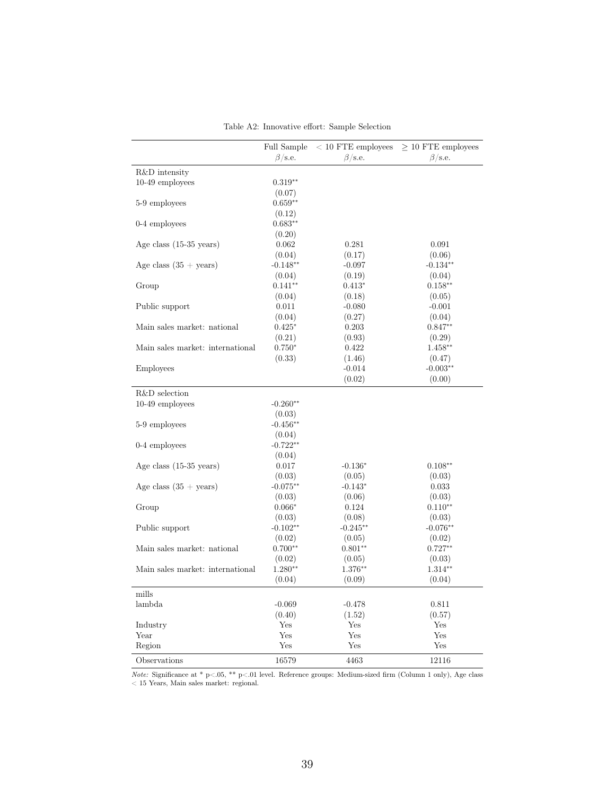<span id="page-41-0"></span>

|                                   | Full Sample<br>$\beta$ /s.e. | $< 10$ FTE employees<br>$\beta$ /s.e. | $\geq$ 10 FTE employees<br>$\beta$ /s.e. |
|-----------------------------------|------------------------------|---------------------------------------|------------------------------------------|
| R&D intensity                     |                              |                                       |                                          |
| 10-49 employees                   | $0.319**$                    |                                       |                                          |
|                                   | (0.07)                       |                                       |                                          |
| 5-9 employees                     | $0.659**$                    |                                       |                                          |
|                                   | (0.12)                       |                                       |                                          |
| 0-4 employees                     | $0.683**$                    |                                       |                                          |
|                                   | (0.20)                       |                                       |                                          |
| Age class $(15-35 \text{ years})$ | 0.062                        | 0.281                                 | 0.091                                    |
|                                   | (0.04)                       | (0.17)                                | (0.06)                                   |
| Age class $(35 + \text{years})$   | $-0.148**$                   | -0.097                                | $-0.134**$                               |
|                                   | (0.04)                       | (0.19)                                | (0.04)                                   |
| Group                             | $0.141**$                    | $0.413*$                              | $0.158**$                                |
|                                   | (0.04)                       | (0.18)                                | (0.05)                                   |
| Public support                    | 0.011                        | $-0.080$                              | $-0.001$                                 |
|                                   | (0.04)                       | (0.27)                                | (0.04)                                   |
| Main sales market: national       | $0.425*$                     | 0.203                                 | $0.847**$                                |
|                                   | (0.21)                       | (0.93)                                | (0.29)                                   |
| Main sales market: international  | $0.750*$                     | 0.422                                 | $1.458**$                                |
|                                   | (0.33)                       | (1.46)                                | (0.47)                                   |
| Employees                         |                              | $-0.014$                              | $-0.003**$                               |
|                                   |                              | (0.02)                                | (0.00)                                   |
| R&D selection                     |                              |                                       |                                          |
| 10-49 employees                   | $-0.260**$                   |                                       |                                          |
|                                   | (0.03)                       |                                       |                                          |
| 5-9 employees                     | $-0.456**$                   |                                       |                                          |
|                                   | (0.04)                       |                                       |                                          |
| 0-4 employees                     | $-0.722**$                   |                                       |                                          |
|                                   | (0.04)                       |                                       |                                          |
| Age class $(15-35 \text{ years})$ | 0.017                        | $-0.136*$                             | $0.108**$                                |
|                                   | (0.03)                       | (0.05)                                | (0.03)                                   |
| Age class $(35 + \text{years})$   | $-0.075**$                   | $-0.143*$                             | 0.033                                    |
|                                   | (0.03)                       | (0.06)                                | (0.03)                                   |
| Group                             | $0.066*$                     | 0.124                                 | $0.110**$                                |
|                                   | (0.03)                       | (0.08)                                | (0.03)                                   |
| Public support                    | $-0.102**$                   | $-0.245**$                            | $-0.076**$                               |
|                                   | (0.02)                       | (0.05)                                | (0.02)                                   |
| Main sales market: national       | $0.700**$                    | $0.801**$                             | $0.727**$                                |
|                                   | (0.02)                       | (0.05)                                | (0.03)                                   |
| Main sales market: international  | $1.280**$                    | $1.376^{\ast\ast}$                    | $1.314**$                                |
|                                   | (0.04)                       | (0.09)                                | (0.04)                                   |
| mills                             |                              |                                       |                                          |
| lambda                            | $-0.069$                     | $-0.478$                              | 0.811                                    |
|                                   | (0.40)                       | (1.52)                                | (0.57)                                   |
| Industry                          | Yes                          | Yes                                   | Yes                                      |
| Year                              | Yes                          | Yes                                   | Yes                                      |
| Region                            | Yes                          | Yes                                   | Yes                                      |
|                                   |                              |                                       |                                          |
| Observations                      | 16579                        | 4463                                  | 12116                                    |

Table A2: Innovative effort: Sample Selection

Note: Significance at \* p<.05, \*\* p<.01 level. Reference groups: Medium-sized firm (Column 1 only), Age class  $<$  15 Years, Main sales market: regional.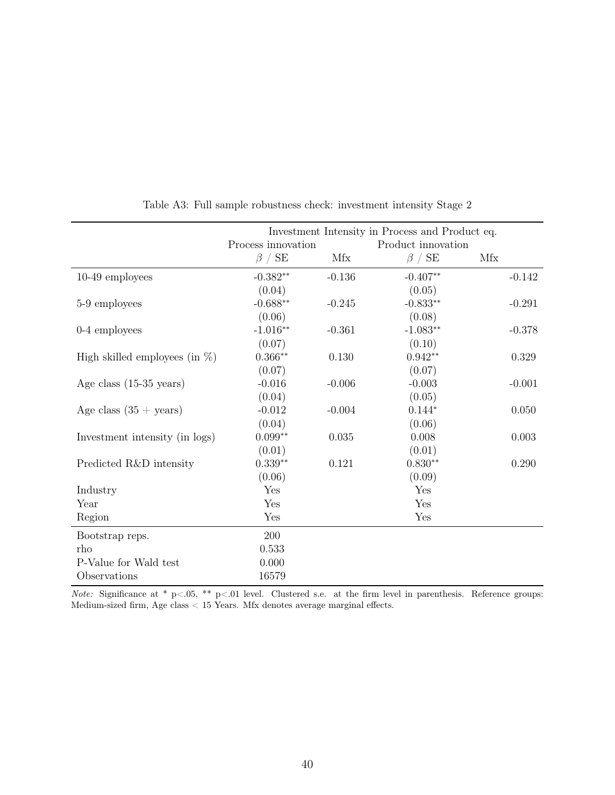<span id="page-42-0"></span>

|                                   |                    |          | Investment Intensity in Process and Product eq. |          |
|-----------------------------------|--------------------|----------|-------------------------------------------------|----------|
|                                   | Process innovation |          | Product innovation                              |          |
|                                   | $\beta$ / SE       | Mfx      | $\beta$ / SE                                    | Mfx      |
| 10-49 employees                   | $-0.382**$         | $-0.136$ | $-0.407**$                                      | $-0.142$ |
|                                   | (0.04)             |          | (0.05)                                          |          |
| 5-9 employees                     | $-0.688**$         | $-0.245$ | $-0.833**$                                      | $-0.291$ |
|                                   | (0.06)             |          | (0.08)                                          |          |
| $0-4$ employees                   | $-1.016**$         | $-0.361$ | $-1.083**$                                      | $-0.378$ |
|                                   | (0.07)             |          | (0.10)                                          |          |
| High skilled employees (in $\%$ ) | $0.366**$          | 0.130    | $0.942**$                                       | 0.329    |
|                                   | (0.07)             |          | (0.07)                                          |          |
| Age class $(15-35 \text{ years})$ | $-0.016$           | $-0.006$ | $-0.003$                                        | $-0.001$ |
|                                   | (0.04)             |          | (0.05)                                          |          |
| Age class $(35 + \text{years})$   | $-0.012$           | $-0.004$ | $0.144*$                                        | 0.050    |
|                                   | (0.04)             |          | (0.06)                                          |          |
| Investment intensity (in logs)    | $0.099**$          | 0.035    | 0.008                                           | 0.003    |
|                                   | (0.01)             |          | (0.01)                                          |          |
| Predicted R&D intensity           | $0.339**$          | 0.121    | $0.830**$                                       | 0.290    |
|                                   | (0.06)             |          | (0.09)                                          |          |
| Industry                          | Yes                |          | Yes                                             |          |
| Year                              | Yes                |          | Yes                                             |          |
| Region                            | Yes                |          | Yes                                             |          |
| Bootstrap reps.                   | 200                |          |                                                 |          |
| rho                               | 0.533              |          |                                                 |          |
| P-Value for Wald test             | 0.000              |          |                                                 |          |
| Observations                      | 16579              |          |                                                 |          |

Table A3: Full sample robustness check: investment intensity Stage 2

Note: Significance at  $*$  p<.05,  $**$  p<.01 level. Clustered s.e. at the firm level in parenthesis. Reference groups: Medium-sized firm, Age class  $<15$  Years. Mfx denotes average marginal effects.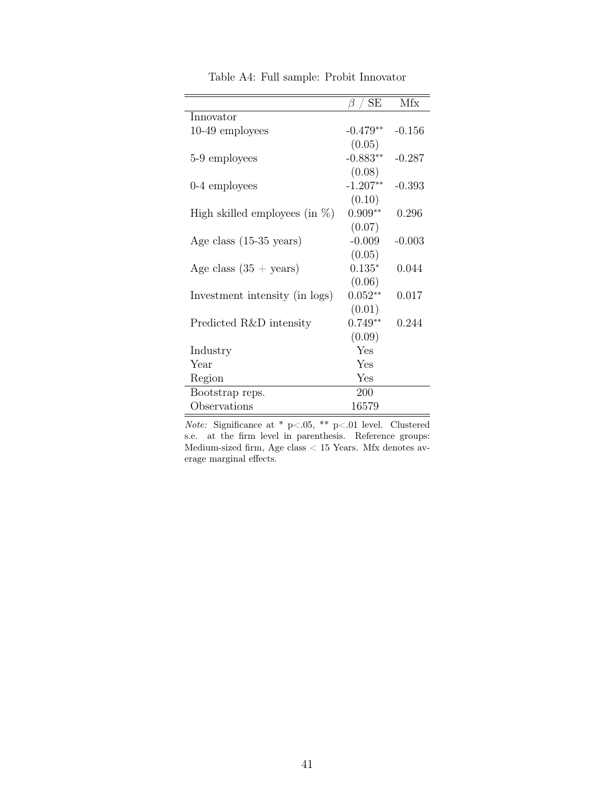<span id="page-43-0"></span>

|          | Mfx                                                                                                                                                                                      |
|----------|------------------------------------------------------------------------------------------------------------------------------------------------------------------------------------------|
|          |                                                                                                                                                                                          |
|          | $-0.156$                                                                                                                                                                                 |
|          |                                                                                                                                                                                          |
|          | $-0.287$                                                                                                                                                                                 |
|          |                                                                                                                                                                                          |
|          |                                                                                                                                                                                          |
|          | $-0.393$                                                                                                                                                                                 |
|          |                                                                                                                                                                                          |
|          | 0.296                                                                                                                                                                                    |
| (0.07)   |                                                                                                                                                                                          |
| $-0.009$ | $-0.003$                                                                                                                                                                                 |
|          |                                                                                                                                                                                          |
|          | 0.044                                                                                                                                                                                    |
|          |                                                                                                                                                                                          |
|          | 0.017                                                                                                                                                                                    |
|          |                                                                                                                                                                                          |
|          |                                                                                                                                                                                          |
|          | 0.244                                                                                                                                                                                    |
|          |                                                                                                                                                                                          |
|          |                                                                                                                                                                                          |
|          |                                                                                                                                                                                          |
| Yes      |                                                                                                                                                                                          |
| 200      |                                                                                                                                                                                          |
| 16579    |                                                                                                                                                                                          |
|          | SE<br>β<br>$-0.479**$<br>(0.05)<br>$-0.883**$<br>(0.08)<br>$-1.207**$<br>(0.10)<br>$0.909**$<br>(0.05)<br>$0.135*$<br>(0.06)<br>$0.052**$<br>(0.01)<br>$0.749**$<br>(0.09)<br>Yes<br>Yes |

Table A4: Full sample: Probit Innovator

Note: Significance at  $*$  p $< .05$ ,  $**$  p $< .01$  level. Clustered s.e. at the firm level in parenthesis. Reference groups: Medium-sized firm, Age class  $<\,15$  Years. Mfx denotes average marginal effects.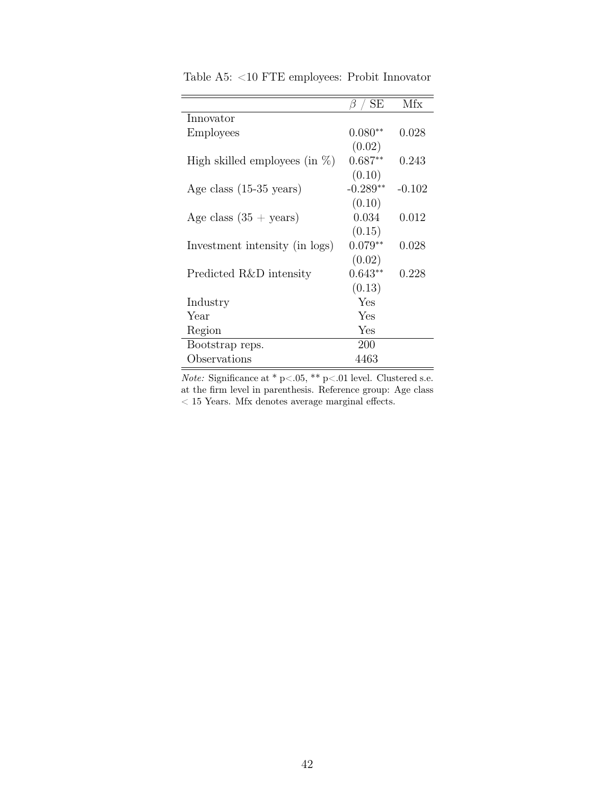<span id="page-44-0"></span>

| Mfx<br>0.028<br>0.243<br>$-0.102$ |
|-----------------------------------|
|                                   |
|                                   |
|                                   |
|                                   |
|                                   |
|                                   |
|                                   |
|                                   |
| 0.012                             |
|                                   |
| 0.028                             |
|                                   |
| 0.228                             |
|                                   |
|                                   |
|                                   |
|                                   |
|                                   |
|                                   |
|                                   |

Table A5: <10 FTE employees: Probit Innovator

*Note:* Significance at  $*$  p $< .05$ ,  $**$  p $< .01$  level. Clustered s.e. at the firm level in parenthesis. Reference group: Age class  $<$  15 Years. Mfx denotes average marginal effects.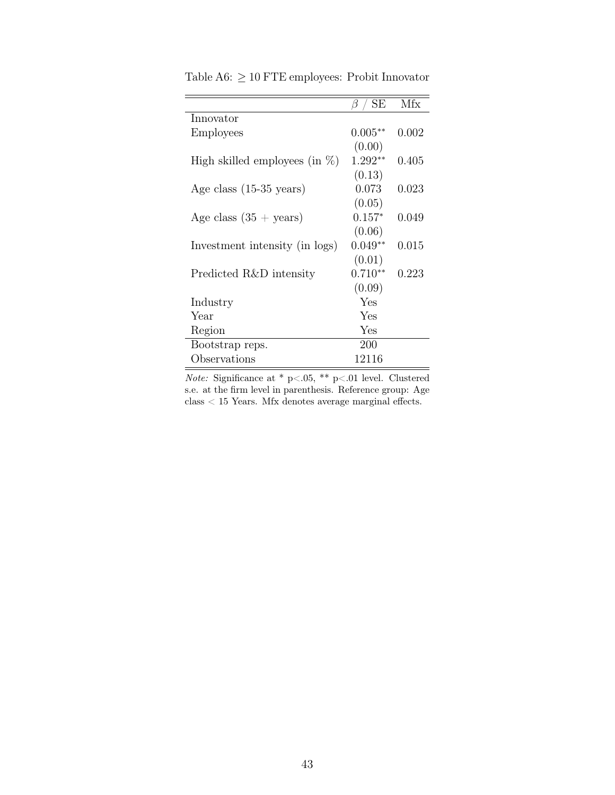|                                   | SЕ<br>B   | Mfx   |
|-----------------------------------|-----------|-------|
| Innovator                         |           |       |
| <b>Employees</b>                  | $0.005**$ | 0.002 |
|                                   | (0.00)    |       |
| High skilled employees (in $\%$ ) | $1.292**$ | 0.405 |
|                                   | (0.13)    |       |
| Age class $(15-35 \text{ years})$ | 0.073     | 0.023 |
|                                   | (0.05)    |       |
| Age class $(35 + \text{years})$   | $0.157*$  | 0.049 |
|                                   | (0.06)    |       |
| Investment intensity (in logs)    | $0.049**$ | 0.015 |
|                                   | (0.01)    |       |
| Predicted R&D intensity           | $0.710**$ | 0.223 |
|                                   | (0.09)    |       |
| Industry                          | Yes       |       |
| Year                              | Yes       |       |
| Region                            | Yes       |       |
| Bootstrap reps.                   | 200       |       |
| Observations                      | 12116     |       |
|                                   |           |       |

<span id="page-45-0"></span>Table A6:  $\geq 10$  FTE employees: Probit Innovator

 $\emph{Note:}$  Significance at \* p<.05, \*\* p<.01 level. Clustered s.e. at the firm level in parenthesis. Reference group: Age  $\rm{class} <$  15 Years. Mfx denotes average marginal effects.